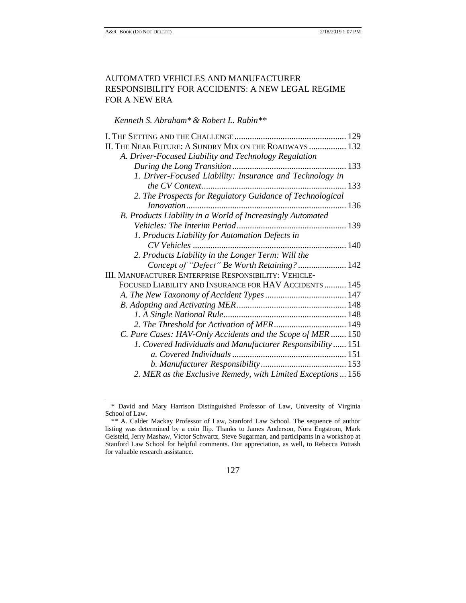# AUTOMATED VEHICLES AND MANUFACTURER RESPONSIBILITY FOR ACCIDENTS: A NEW LEGAL REGIME FOR A NEW ERA

*Kenneth S. Abraham\* & Robert L. Rabin\*\**

| II. THE NEAR FUTURE: A SUNDRY MIX ON THE ROADWAYS  132       |  |
|--------------------------------------------------------------|--|
| A. Driver-Focused Liability and Technology Regulation        |  |
|                                                              |  |
| 1. Driver-Focused Liability: Insurance and Technology in     |  |
|                                                              |  |
| 2. The Prospects for Regulatory Guidance of Technological    |  |
|                                                              |  |
| B. Products Liability in a World of Increasingly Automated   |  |
|                                                              |  |
| 1. Products Liability for Automation Defects in              |  |
|                                                              |  |
| 2. Products Liability in the Longer Term: Will the           |  |
| Concept of "Defect" Be Worth Retaining? 142                  |  |
| <b>III. MANUFACTURER ENTERPRISE RESPONSIBILITY: VEHICLE-</b> |  |
| FOCUSED LIABILITY AND INSURANCE FOR HAV ACCIDENTS  145       |  |
|                                                              |  |
|                                                              |  |
|                                                              |  |
| 2. The Threshold for Activation of MER 149                   |  |
| C. Pure Cases: HAV-Only Accidents and the Scope of MER  150  |  |
| 1. Covered Individuals and Manufacturer Responsibility 151   |  |
|                                                              |  |
|                                                              |  |
| 2. MER as the Exclusive Remedy, with Limited Exceptions  156 |  |

<sup>\*</sup> David and Mary Harrison Distinguished Professor of Law, University of Virginia School of Law.

<sup>\*\*</sup> A. Calder Mackay Professor of Law, Stanford Law School. The sequence of author listing was determined by a coin flip. Thanks to James Anderson, Nora Engstrom, Mark Geisteld, Jerry Mashaw, Victor Schwartz, Steve Sugarman, and participants in a workshop at Stanford Law School for helpful comments. Our appreciation, as well, to Rebecca Pottash for valuable research assistance.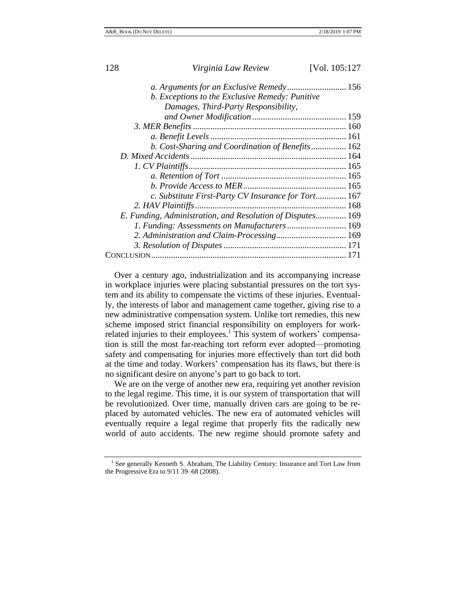| Virginia Law Review<br>128                                 | [Vol. 105:127 |
|------------------------------------------------------------|---------------|
|                                                            |               |
| b. Exceptions to the Exclusive Remedy: Punitive            |               |
| Damages, Third-Party Responsibility,                       |               |
|                                                            |               |
|                                                            |               |
|                                                            |               |
| b. Cost-Sharing and Coordination of Benefits 162           |               |
|                                                            |               |
|                                                            |               |
|                                                            |               |
|                                                            |               |
| c. Substitute First-Party CV Insurance for Tort 167        |               |
|                                                            |               |
| E. Funding, Administration, and Resolution of Disputes 169 |               |
| 1. Funding: Assessments on Manufacturers 169               |               |
| 2. Administration and Claim-Processing 169                 |               |
|                                                            |               |
|                                                            |               |

Over a century ago, industrialization and its accompanying increase in workplace injuries were placing substantial pressures on the tort system and its ability to compensate the victims of these injuries. Eventually, the interests of labor and management came together, giving rise to a new administrative compensation system. Unlike tort remedies, this new scheme imposed strict financial responsibility on employers for workrelated injuries to their employees.<sup>1</sup> This system of workers' compensation is still the most far-reaching tort reform ever adopted—promoting safety and compensating for injuries more effectively than tort did both at the time and today. Workers' compensation has its flaws, but there is no significant desire on anyone's part to go back to tort.

We are on the verge of another new era, requiring yet another revision to the legal regime. This time, it is our system of transportation that will be revolutionized. Over time, manually driven cars are going to be replaced by automated vehicles. The new era of automated vehicles will eventually require a legal regime that properly fits the radically new world of auto accidents. The new regime should promote safety and

<sup>&</sup>lt;sup>1</sup> See generally Kenneth S. Abraham, The Liability Century: Insurance and Tort Law from the Progressive Era to 9/11 39–68 (2008).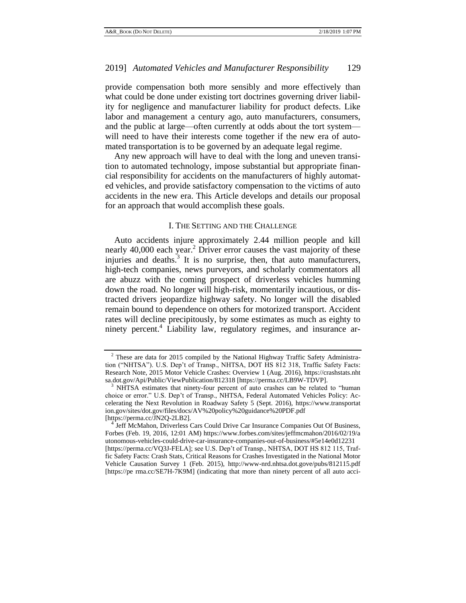provide compensation both more sensibly and more effectively than what could be done under existing tort doctrines governing driver liability for negligence and manufacturer liability for product defects. Like labor and management a century ago, auto manufacturers, consumers, and the public at large—often currently at odds about the tort system will need to have their interests come together if the new era of automated transportation is to be governed by an adequate legal regime.

Any new approach will have to deal with the long and uneven transition to automated technology, impose substantial but appropriate financial responsibility for accidents on the manufacturers of highly automated vehicles, and provide satisfactory compensation to the victims of auto accidents in the new era. This Article develops and details our proposal for an approach that would accomplish these goals.

## <span id="page-2-2"></span>I. THE SETTING AND THE CHALLENGE

<span id="page-2-0"></span>Auto accidents injure approximately 2.44 million people and kill nearly 40,000 each year.<sup>2</sup> Driver error causes the vast majority of these injuries and deaths.<sup>3</sup> It is no surprise, then, that auto manufacturers, high-tech companies, news purveyors, and scholarly commentators all are abuzz with the coming prospect of driverless vehicles humming down the road. No longer will high-risk, momentarily incautious, or distracted drivers jeopardize highway safety. No longer will the disabled remain bound to dependence on others for motorized transport. Accident rates will decline precipitously, by some estimates as much as eighty to ninety percent.<sup>4</sup> Liability law, regulatory regimes, and insurance ar-

<span id="page-2-1"></span><sup>2</sup> These are data for 2015 compiled by the National Highway Traffic Safety Administration ("NHTSA"). U.S. Dep't of Transp., NHTSA, DOT HS 812 318, Traffic Safety Facts: Research Note, 2015 Motor Vehicle Crashes: Overview 1 (Aug. 2016), https://crashstats.nht sa.dot.gov/Api/Public/ViewPublication/812318 [https://perma.cc/LB9W-TDVP].

<sup>&</sup>lt;sup>3</sup> NHTSA estimates that ninety-four percent of auto crashes can be related to "human choice or error." U.S. Dep't of Transp., NHTSA, Federal Automated Vehicles Policy: Accelerating the Next Revolution in Roadway Safety 5 (Sept. 2016), https://www.transportat ion.gov/sites/dot.gov/files/docs/AV%20policy%20guidance%20PDF.pdf [https://perma.cc/JN2Q-2LB2].

Jeff McMahon, Driverless Cars Could Drive Car Insurance Companies Out Of Business, Forbes (Feb. 19, 2016, 12:01 AM) https://www.forbes.com/sites/jeffmcmahon/2016/02/19/a utonomous-vehicles-could-drive-car-insurance-companies-out-of-business/#5e14e0d12231 [https://perma.cc/VQ3J-FELA]; see U.S. Dep't of Transp., NHTSA, DOT HS 812 115, Traffic Safety Facts: Crash Stats, Critical Reasons for Crashes Investigated in the National Motor Vehicle Causation Survey 1 (Feb. 2015), http://www-nrd.nhtsa.dot.gove/pubs/812115.pdf [https://pe rma.cc/SE7H-7K9M] (indicating that more than ninety percent of all auto acci-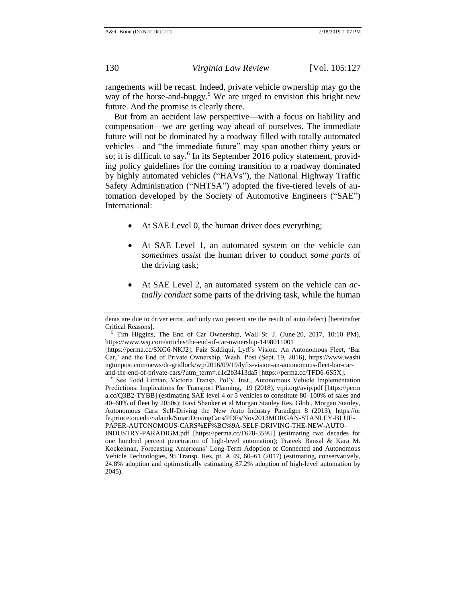rangements will be recast. Indeed, private vehicle ownership may go the way of the horse-and-buggy.<sup>5</sup> We are urged to envision this bright new future. And the promise is clearly there.

<span id="page-3-0"></span>But from an accident law perspective—with a focus on liability and compensation—we are getting way ahead of ourselves. The immediate future will not be dominated by a roadway filled with totally automated vehicles—and "the immediate future" may span another thirty years or so; it is difficult to say.<sup>6</sup> In its September 2016 policy statement, providing policy guidelines for the coming transition to a roadway dominated by highly automated vehicles ("HAVs"), the National Highway Traffic Safety Administration ("NHTSA") adopted the five-tiered levels of automation developed by the Society of Automotive Engineers ("SAE") International:

- At SAE Level 0, the human driver does everything;
- At SAE Level 1, an automated system on the vehicle can *sometimes assist* the human driver to conduct *some parts* of the driving task;
- At SAE Level 2, an automated system on the vehicle can *actually conduct* some parts of the driving task, while the human

<sup>6</sup> See Todd Litman, Victoria Transp. Pol'y. Inst., Autonomous Vehicle Implementation Predictions: Implications for Transport Planning, 19 (2018), vtpi.org/avip.pdf [https://perm a.cc/Q3B2-TYBB] (estimating SAE level 4 or 5 vehicles to constitute 80–100% of sales and 40–60% of fleet by 2050s); Ravi Shanker et al Morgan Stanley Res. Glob., Morgan Stanley, Autonomous Cars: Self-Driving the New Auto Industry Paradigm 8 (2013), https://or fe.princeton.edu/~alaink/SmartDrivingCars/PDFs/Nov2013MORGAN-STANLEY-BLUE-PAPER-AUTONOMOUS-CARS%EF%BC%9A-SELF-DRIVING-THE-NEW-AUTO-INDUSTRY-PARADIGM.pdf [https://perma.cc/F678-359U] (estimating two decades for

one hundred percent penetration of high-level automation); Prateek Bansal & Kara M. Kockelman, Forecasting Americans' Long-Term Adoption of Connected and Autonomous Vehicle Technologies, 95 Transp. Res. pt. A 49, 60–61 (2017) (estimating, conservatively, 24.8% adoption and optimistically estimating 87.2% adoption of high-level automation by 2045).

dents are due to driver error, and only two percent are the result of auto defect) [hereinafter Critical Reasons].

<sup>5</sup> Tim Higgins, The End of Car Ownership, Wall St. J. (June 20, 2017, 10:10 PM), https://www.wsj.com/articles/the-end-of-car-ownership-1498011001

<sup>[</sup>https://perma.cc/SXG6-NKJ2]; Faiz Siddiqui, Lyft's Vision: An Autonomous Fleet, 'Bar Car,' and the End of Private Ownership, Wash. Post (Sept. 19, 2016), https://www.washi ngtonpost.com/news/dr-gridlock/wp/2016/09/19/lyfts-vision-an-autonomous-fleet-bar-carand-the-end-of-private-cars/?utm\_term=.c1c2b3413da5 [https://perma.cc/TFD6-6S5X].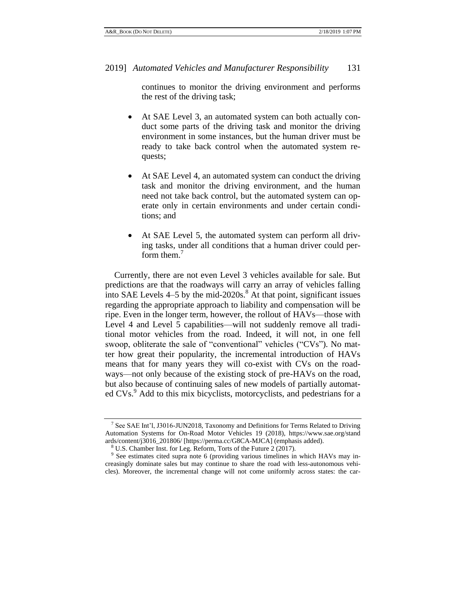continues to monitor the driving environment and performs the rest of the driving task;

- At SAE Level 3, an automated system can both actually conduct some parts of the driving task and monitor the driving environment in some instances, but the human driver must be ready to take back control when the automated system requests;
- At SAE Level 4, an automated system can conduct the driving task and monitor the driving environment, and the human need not take back control, but the automated system can operate only in certain environments and under certain conditions; and
- <span id="page-4-1"></span><span id="page-4-0"></span> At SAE Level 5, the automated system can perform all driving tasks, under all conditions that a human driver could perform them.<sup>7</sup>

Currently, there are not even Level 3 vehicles available for sale. But predictions are that the roadways will carry an array of vehicles falling into SAE Levels  $4-5$  by the mid-2020s.<sup>8</sup> At that point, significant issues regarding the appropriate approach to liability and compensation will be ripe. Even in the longer term, however, the rollout of HAVs—those with Level 4 and Level 5 capabilities—will not suddenly remove all traditional motor vehicles from the road. Indeed, it will not, in one fell swoop, obliterate the sale of "conventional" vehicles ("CVs"). No matter how great their popularity, the incremental introduction of HAVs means that for many years they will co-exist with CVs on the roadways—not only because of the existing stock of pre-HAVs on the road, but also because of continuing sales of new models of partially automated CVs.<sup>9</sup> Add to this mix bicyclists, motorcyclists, and pedestrians for a

<sup>&</sup>lt;sup>7</sup> See SAE Int'l, J3016-JUN2018, Taxonomy and Definitions for Terms Related to Driving Automation Systems for On-Road Motor Vehicles 19 (2018), https://www.sae.org/stand ards/content/j3016\_201806/ [https://perma.cc/G8CA-MJCA] (emphasis added).

<sup>8</sup> U.S. Chamber Inst. for Leg. Reform, Torts of the Future 2 (2017).

<sup>&</sup>lt;sup>9</sup> See estimates cited supra note [6](#page-3-0) (providing various timelines in which HAVs may increasingly dominate sales but may continue to share the road with less-autonomous vehicles). Moreover, the incremental change will not come uniformly across states: the car-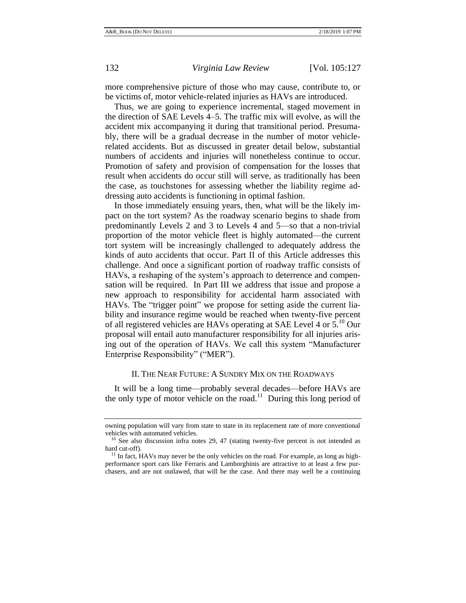more comprehensive picture of those who may cause, contribute to, or be victims of, motor vehicle-related injuries as HAVs are introduced.

Thus, we are going to experience incremental, staged movement in the direction of SAE Levels 4–5. The traffic mix will evolve, as will the accident mix accompanying it during that transitional period. Presumably, there will be a gradual decrease in the number of motor vehiclerelated accidents. But as discussed in greater detail below, substantial numbers of accidents and injuries will nonetheless continue to occur. Promotion of safety and provision of compensation for the losses that result when accidents do occur still will serve, as traditionally has been the case, as touchstones for assessing whether the liability regime addressing auto accidents is functioning in optimal fashion.

In those immediately ensuing years, then, what will be the likely impact on the tort system? As the roadway scenario begins to shade from predominantly Levels 2 and 3 to Levels 4 and 5—so that a non-trivial proportion of the motor vehicle fleet is highly automated—the current tort system will be increasingly challenged to adequately address the kinds of auto accidents that occur. Part II of this Article addresses this challenge. And once a significant portion of roadway traffic consists of HAVs, a reshaping of the system's approach to deterrence and compensation will be required. In Part III we address that issue and propose a new approach to responsibility for accidental harm associated with HAVs. The "trigger point" we propose for setting aside the current liability and insurance regime would be reached when twenty-five percent of all registered vehicles are HAVs operating at SAE Level 4 or  $5^{10}$  Our proposal will entail auto manufacturer responsibility for all injuries arising out of the operation of HAVs. We call this system "Manufacturer Enterprise Responsibility" ("MER").

### <span id="page-5-1"></span>II. THE NEAR FUTURE: A SUNDRY MIX ON THE ROADWAYS

<span id="page-5-0"></span>It will be a long time—probably several decades—before HAVs are the only type of motor vehicle on the road.<sup>11</sup> During this long period of

owning population will vary from state to state in its replacement rate of more conventional vehicles with automated vehicles.

 $10$  See also discussion infra notes [29,](#page-12-1) [47](#page-22-1) (stating twenty-five percent is not intended as hard cut-off).

 $11$  In fact, HAVs may never be the only vehicles on the road. For example, as long as highperformance sport cars like Ferraris and Lamborghinis are attractive to at least a few purchasers, and are not outlawed, that will be the case. And there may well be a continuing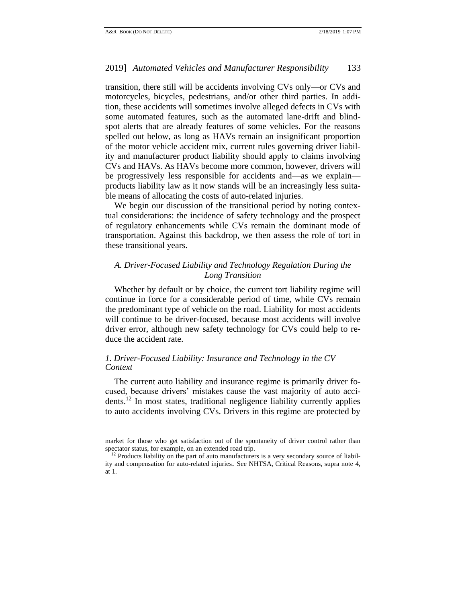transition, there still will be accidents involving CVs only—or CVs and motorcycles, bicycles, pedestrians, and/or other third parties. In addition, these accidents will sometimes involve alleged defects in CVs with some automated features, such as the automated lane-drift and blindspot alerts that are already features of some vehicles. For the reasons spelled out below, as long as HAVs remain an insignificant proportion of the motor vehicle accident mix, current rules governing driver liability and manufacturer product liability should apply to claims involving CVs and HAVs. As HAVs become more common, however, drivers will be progressively less responsible for accidents and—as we explain products liability law as it now stands will be an increasingly less suitable means of allocating the costs of auto-related injuries.

We begin our discussion of the transitional period by noting contextual considerations: the incidence of safety technology and the prospect of regulatory enhancements while CVs remain the dominant mode of transportation. Against this backdrop, we then assess the role of tort in these transitional years.

# <span id="page-6-0"></span>*A. Driver-Focused Liability and Technology Regulation During the Long Transition*

Whether by default or by choice, the current tort liability regime will continue in force for a considerable period of time, while CVs remain the predominant type of vehicle on the road. Liability for most accidents will continue to be driver-focused, because most accidents will involve driver error, although new safety technology for CVs could help to reduce the accident rate.

# <span id="page-6-1"></span>*1. Driver-Focused Liability: Insurance and Technology in the CV Context*

The current auto liability and insurance regime is primarily driver focused, because drivers' mistakes cause the vast majority of auto accidents.<sup>12</sup> In most states, traditional negligence liability currently applies to auto accidents involving CVs. Drivers in this regime are protected by

market for those who get satisfaction out of the spontaneity of driver control rather than spectator status, for example, on an extended road trip.

<sup>&</sup>lt;sup>12</sup> Products liability on the part of auto manufacturers is a very secondary source of liability and compensation for auto-related injuries. See NHTSA, Critical Reasons, supra note [4,](#page-2-1)  at 1.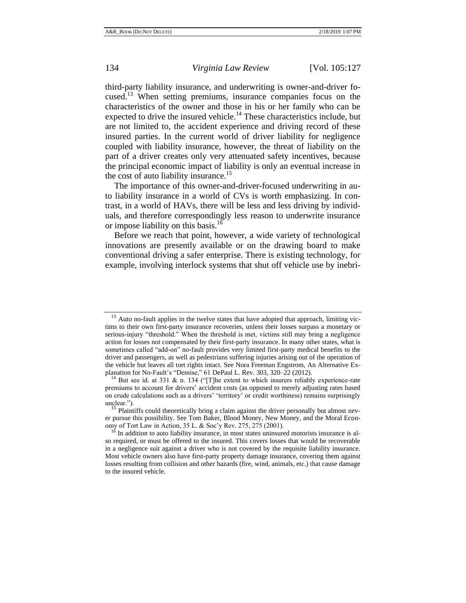<span id="page-7-0"></span>third-party liability insurance, and underwriting is owner-and-driver focused.<sup>13</sup> When setting premiums, insurance companies focus on the characteristics of the owner and those in his or her family who can be expected to drive the insured vehicle.<sup>14</sup> These characteristics include, but are not limited to, the accident experience and driving record of these insured parties. In the current world of driver liability for negligence coupled with liability insurance, however, the threat of liability on the part of a driver creates only very attenuated safety incentives, because the principal economic impact of liability is only an eventual increase in the cost of auto liability insurance.<sup>15</sup>

The importance of this owner-and-driver-focused underwriting in auto liability insurance in a world of CVs is worth emphasizing. In contrast, in a world of HAVs, there will be less and less driving by individuals, and therefore correspondingly less reason to underwrite insurance or impose liability on this basis.<sup>16</sup>

Before we reach that point, however, a wide variety of technological innovations are presently available or on the drawing board to make conventional driving a safer enterprise. There is existing technology, for example, involving interlock systems that shut off vehicle use by inebri-

<sup>13</sup> Auto no-fault applies in the twelve states that have adopted that approach, limiting victims to their own first-party insurance recoveries, unless their losses surpass a monetary or serious-injury "threshold." When the threshold is met, victims still may bring a negligence action for losses not compensated by their first-party insurance. In many other states, what is sometimes called "add-on" no-fault provides very limited first-party medical benefits to the driver and passengers, as well as pedestrians suffering injuries arising out of the operation of the vehicle but leaves all tort rights intact. See Nora Freeman Engstrom, An Alternative Explanation for No-Fault's "Demise," 61 DePaul L. Rev. 303, 320–22 (2012).

<sup>&</sup>lt;sup>14</sup> But see id. at 331 & n. 134 ("[T]he extent to which insurers reliably experience-rate premiums to account for drivers' accident costs (as opposed to merely adjusting rates based on crude calculations such as a drivers' 'territory' or credit worthiness) remains surprisingly unclear.").

Plaintiffs could theoretically bring a claim against the driver personally but almost never pursue this possibility. See Tom Baker, Blood Money, New Money, and the Moral Economy of Tort Law in Action, 35 L. & Soc'y Rev. 275, 275 (2001).

In addition to auto liability insurance, in most states uninsured motorists insurance is also required, or must be offered to the insured. This covers losses that would be recoverable in a negligence suit against a driver who is not covered by the requisite liability insurance. Most vehicle owners also have first-party property damage insurance, covering them against losses resulting from collision and other hazards (fire, wind, animals, etc.) that cause damage to the insured vehicle.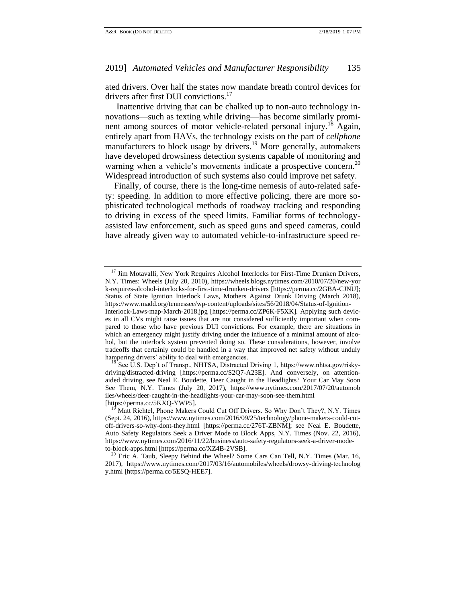ated drivers. Over half the states now mandate breath control devices for drivers after first DUI convictions.<sup>17</sup>

Inattentive driving that can be chalked up to non-auto technology innovations—such as texting while driving—has become similarly prominent among sources of motor vehicle-related personal injury.<sup>18</sup> Again, entirely apart from HAVs, the technology exists on the part of *cellphone* manufacturers to block usage by drivers.<sup>19</sup> More generally, automakers have developed drowsiness detection systems capable of monitoring and warning when a vehicle's movements indicate a prospective concern.<sup>20</sup> Widespread introduction of such systems also could improve net safety.

Finally, of course, there is the long-time nemesis of auto-related safety: speeding. In addition to more effective policing, there are more sophisticated technological methods of roadway tracking and responding to driving in excess of the speed limits. Familiar forms of technologyassisted law enforcement, such as speed guns and speed cameras, could have already given way to automated vehicle-to-infrastructure speed re-

<sup>&</sup>lt;sup>17</sup> Jim Motavalli, New York Requires Alcohol Interlocks for First-Time Drunken Drivers, N.Y. Times: Wheels (July 20, 2010), https://wheels.blogs.nytimes.com/2010/07/20/new-yor k-requires-alcohol-interlocks-for-first-time-drunken-drivers [https://perma.cc/2GBA-CJNU]; Status of State Ignition Interlock Laws, Mothers Against Drunk Driving (March 2018), https://www.madd.org/tennessee/wp-content/uploads/sites/56/2018/04/Status-of-Ignition-

Interlock-Laws-map-March-2018.jpg [https://perma.cc/ZP6K-F5XK]. Applying such devices in all CVs might raise issues that are not considered sufficiently important when compared to those who have previous DUI convictions. For example, there are situations in which an emergency might justify driving under the influence of a minimal amount of alcohol, but the interlock system prevented doing so. These considerations, however, involve tradeoffs that certainly could be handled in a way that improved net safety without unduly hampering drivers' ability to deal with emergencies.

 $^{18}$  See U.S. Dep't of Transp., NHTSA, Distracted Driving 1, https://www.nhtsa.gov/riskydriving/distracted-driving [https://perma.cc/S2Q7-A23E]. And conversely, on attentionaided driving, see Neal E. Boudette, Deer Caught in the Headlights? Your Car May Soon See Them, N.Y. Times (July 20, 2017), https://www.nytimes.com/2017/07/20/automob iles/wheels/deer-caught-in-the-headlights-your-car-may-soon-see-them.html [https://perma.cc/5KXQ-YWP5].

Matt Richtel, Phone Makers Could Cut Off Drivers. So Why Don't They?, N.Y. Times (Sept. 24, 2016), https://www.nytimes.com/2016/09/25/technology/phone-makers-could-cutoff-drivers-so-why-dont-they.html [https://perma.cc/276T-ZBNM]; see Neal E. Boudette, Auto Safety Regulators Seek a Driver Mode to Block Apps, N.Y. Times (Nov. 22, 2016), https://www.nytimes.com/2016/11/22/business/auto-safety-regulators-seek-a-driver-modeto-block-apps.html [https://perma.cc/XZ4B-2VSB].

<sup>&</sup>lt;sup>20</sup> Eric A. Taub, Sleepy Behind the Wheel? Some Cars Can Tell, N.Y. Times (Mar. 16, 2017), https://www.nytimes.com/2017/03/16/automobiles/wheels/drowsy-driving-technolog y.html [https://perma.cc/5ESQ-HEE7].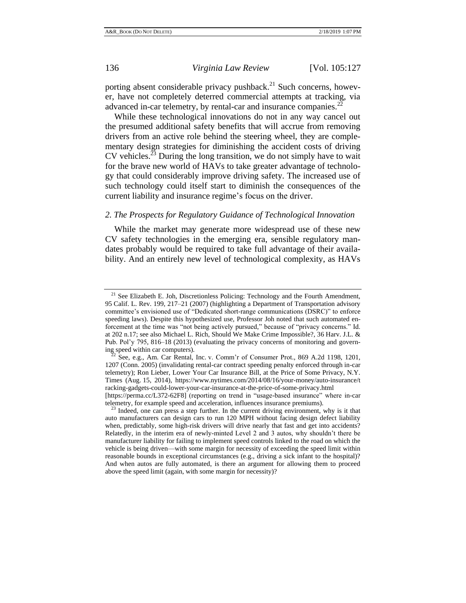porting absent considerable privacy pushback.<sup>21</sup> Such concerns, however, have not completely deterred commercial attempts at tracking, via advanced in-car telemetry, by rental-car and insurance companies.<sup>22</sup>

While these technological innovations do not in any way cancel out the presumed additional safety benefits that will accrue from removing drivers from an active role behind the steering wheel, they are complementary design strategies for diminishing the accident costs of driving CV vehicles.<sup>23</sup> During the long transition, we do not simply have to wait for the brave new world of HAVs to take greater advantage of technology that could considerably improve driving safety. The increased use of such technology could itself start to diminish the consequences of the current liability and insurance regime's focus on the driver.

## <span id="page-9-0"></span>*2. The Prospects for Regulatory Guidance of Technological Innovation*

While the market may generate more widespread use of these new CV safety technologies in the emerging era, sensible regulatory mandates probably would be required to take full advantage of their availability. And an entirely new level of technological complexity, as HAVs

<sup>&</sup>lt;sup>21</sup> See Elizabeth E. Joh, Discretionless Policing: Technology and the Fourth Amendment, 95 Calif. L. Rev. 199, 217–21 (2007) (highlighting a Department of Transportation advisory committee's envisioned use of "Dedicated short-range communications (DSRC)" to enforce speeding laws). Despite this hypothesized use, Professor Joh noted that such automated enforcement at the time was "not being actively pursued," because of "privacy concerns." Id. at 202 n.17; see also Michael L. Rich, Should We Make Crime Impossible?, 36 Harv. J.L. & Pub. Pol'y 795, 816–18 (2013) (evaluating the privacy concerns of monitoring and governing speed within car computers).

See, e.g., Am. Car Rental, Inc. v. Comm'r of Consumer Prot., 869 A.2d 1198, 1201, 1207 (Conn. 2005) (invalidating rental-car contract speeding penalty enforced through in-car telemetry); Ron Lieber, Lower Your Car Insurance Bill, at the Price of Some Privacy, N.Y. Times (Aug. 15, 2014), https://www.nytimes.com/2014/08/16/your-money/auto-insurance/t racking-gadgets-could-lower-your-car-insurance-at-the-price-of-some-privacy.html

<sup>[</sup>https://perma.cc/L372-62F8] (reporting on trend in "usage-based insurance" where in-car telemetry, for example speed and acceleration, influences insurance premiums).

 $2<sup>23</sup>$  Indeed, one can press a step further. In the current driving environment, why is it that auto manufacturers can design cars to run 120 MPH without facing design defect liability when, predictably, some high-risk drivers will drive nearly that fast and get into accidents? Relatedly, in the interim era of newly-minted Level 2 and 3 autos, why shouldn't there be manufacturer liability for failing to implement speed controls linked to the road on which the vehicle is being driven—with some margin for necessity of exceeding the speed limit within reasonable bounds in exceptional circumstances (e.g., driving a sick infant to the hospital)? And when autos are fully automated, is there an argument for allowing them to proceed above the speed limit (again, with some margin for necessity)?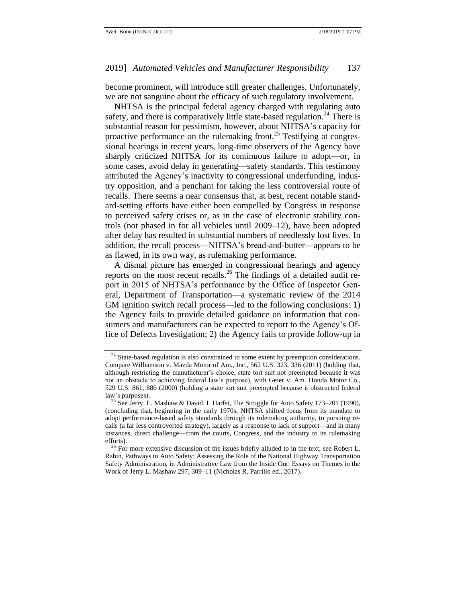become prominent, will introduce still greater challenges. Unfortunately, we are not sanguine about the efficacy of such regulatory involvement.

NHTSA is the principal federal agency charged with regulating auto safety, and there is comparatively little state-based regulation.<sup>24</sup> There is substantial reason for pessimism, however, about NHTSA's capacity for proactive performance on the rulemaking front.<sup>25</sup> Testifying at congressional hearings in recent years, long-time observers of the Agency have sharply criticized NHTSA for its continuous failure to adopt—or, in some cases, avoid delay in generating—safety standards. This testimony attributed the Agency's inactivity to congressional underfunding, industry opposition, and a penchant for taking the less controversial route of recalls. There seems a near consensus that, at best, recent notable standard-setting efforts have either been compelled by Congress in response to perceived safety crises or, as in the case of electronic stability controls (not phased in for all vehicles until 2009–12), have been adopted after delay has resulted in substantial numbers of needlessly lost lives. In addition, the recall process—NHTSA's bread-and-butter—appears to be as flawed, in its own way, as rulemaking performance.

A dismal picture has emerged in congressional hearings and agency reports on the most recent recalls.<sup>26</sup> The findings of a detailed audit report in 2015 of NHTSA's performance by the Office of Inspector General, Department of Transportation—a systematic review of the 2014 GM ignition switch recall process—led to the following conclusions: 1) the Agency fails to provide detailed guidance on information that consumers and manufacturers can be expected to report to the Agency's Office of Defects Investigation; 2) the Agency fails to provide follow-up in

<sup>&</sup>lt;sup>24</sup> State-based regulation is also constrained to some extent by preemption considerations. Compare Williamson v. Mazda Motor of Am., Inc., 562 U.S. 323, 336 (2011) (holding that, although restricting the manufacturer's choice, state tort suit not preempted because it was not an obstacle to achieving federal law's purpose), with Geier v. Am. Honda Motor Co., 529 U.S. 861, 886 (2000) (holding a state tort suit preempted because it obstructed federal law's purposes).

<sup>&</sup>lt;sup>25</sup> See Jerry. L. Mashaw & David. L Harfst, The Struggle for Auto Safety 173-201 (1990), (concluding that, beginning in the early 1970s, NHTSA shifted focus from its mandate to adopt performance-based safety standards through its rulemaking authority, to pursuing recalls (a far less controverted strategy), largely as a response to lack of support—and in many instances, direct challenge—from the courts, Congress, and the industry to its rulemaking efforts).

 $26$  For more extensive discussion of the issues briefly alluded to in the text, see Robert L. Rabin, Pathways to Auto Safety: Assessing the Role of the National Highway Transportation Safety Administration, in Administrative Law from the Inside Out: Essays on Themes in the Work of Jerry L. Mashaw 297, 309–11 (Nicholas R. Parrillo ed., 2017).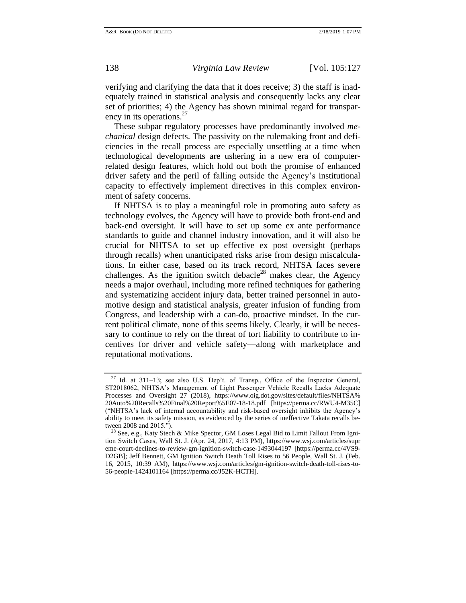verifying and clarifying the data that it does receive; 3) the staff is inadequately trained in statistical analysis and consequently lacks any clear set of priorities; 4) the Agency has shown minimal regard for transparency in its operations.<sup>27</sup>

These subpar regulatory processes have predominantly involved *mechanical* design defects. The passivity on the rulemaking front and deficiencies in the recall process are especially unsettling at a time when technological developments are ushering in a new era of computerrelated design features, which hold out both the promise of enhanced driver safety and the peril of falling outside the Agency's institutional capacity to effectively implement directives in this complex environment of safety concerns.

If NHTSA is to play a meaningful role in promoting auto safety as technology evolves, the Agency will have to provide both front-end and back-end oversight. It will have to set up some ex ante performance standards to guide and channel industry innovation, and it will also be crucial for NHTSA to set up effective ex post oversight (perhaps through recalls) when unanticipated risks arise from design miscalculations. In either case, based on its track record, NHTSA faces severe challenges. As the ignition switch debacle<sup>28</sup> makes clear, the Agency needs a major overhaul, including more refined techniques for gathering and systematizing accident injury data, better trained personnel in automotive design and statistical analysis, greater infusion of funding from Congress, and leadership with a can-do, proactive mindset. In the current political climate, none of this seems likely. Clearly, it will be necessary to continue to rely on the threat of tort liability to contribute to incentives for driver and vehicle safety—along with marketplace and reputational motivations.

<sup>&</sup>lt;sup>27</sup> Id. at 311–13; see also U.S. Dep't. of Transp., Office of the Inspector General, ST2018062, NHTSA's Management of Light Passenger Vehicle Recalls Lacks Adequate Processes and Oversight 27 (2018), https://www.oig.dot.gov/sites/default/files/NHTSA% 20Auto%20Recalls%20Final%20Report%5E07-18-18.pdf [https://perma.cc/RWU4-M35C] ("NHTSA's lack of internal accountability and risk-based oversight inhibits the Agency's ability to meet its safety mission, as evidenced by the series of ineffective Takata recalls between 2008 and 2015.").

<sup>&</sup>lt;sup>28</sup> See, e.g., Katy Stech & Mike Spector, GM Loses Legal Bid to Limit Fallout From Ignition Switch Cases, Wall St. J. (Apr. 24, 2017, 4:13 PM), https://www.wsj.com/articles/supr eme-court-declines-to-review-gm-ignition-switch-case-1493044197 [https://perma.cc/4VS9- D2GB]; Jeff Bennett, GM Ignition Switch Death Toll Rises to 56 People, Wall St. J. (Feb. 16, 2015, 10:39 AM), https://www.wsj.com/articles/gm-ignition-switch-death-toll-rises-to-56-people-1424101164 [https://perma.cc/J52K-HCTH].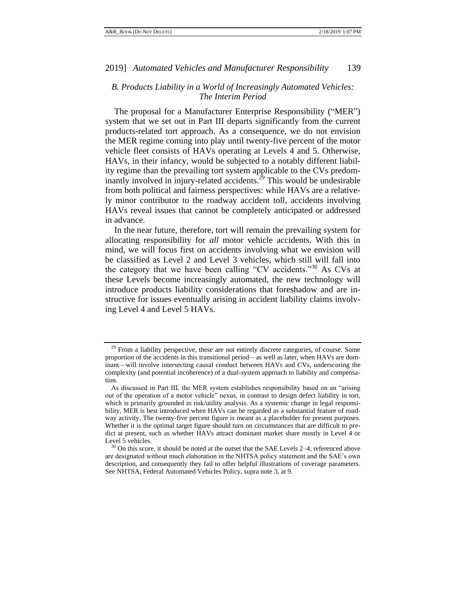# <span id="page-12-0"></span>*B. Products Liability in a World of Increasingly Automated Vehicles: The Interim Period*

The proposal for a Manufacturer Enterprise Responsibility ("MER") system that we set out in Part III departs significantly from the current products-related tort approach. As a consequence, we do not envision the MER regime coming into play until twenty-five percent of the motor vehicle fleet consists of HAVs operating at Levels 4 and 5. Otherwise, HAVs, in their infancy, would be subjected to a notably different liability regime than the prevailing tort system applicable to the CVs predominantly involved in injury-related accidents.<sup>29</sup> This would be undesirable from both political and fairness perspectives: while HAVs are a relatively minor contributor to the roadway accident toll, accidents involving HAVs reveal issues that cannot be completely anticipated or addressed in advance.

<span id="page-12-1"></span>In the near future, therefore, tort will remain the prevailing system for allocating responsibility for *all* motor vehicle accidents. With this in mind, we will focus first on accidents involving what we envision will be classified as Level 2 and Level 3 vehicles, which still will fall into the category that we have been calling "CV accidents."<sup>30</sup> As CVs at these Levels become increasingly automated, the new technology will introduce products liability considerations that foreshadow and are instructive for issues eventually arising in accident liability claims involving Level 4 and Level 5 HAVs.

<sup>&</sup>lt;sup>29</sup> From a liability perspective, these are not entirely discrete categories, of course. Some proportion of the accidents in this transitional period—as well as later, when HAVs are dominant—will involve intersecting causal conduct between HAVs and CVs, underscoring the complexity (and potential incoherence) of a dual-system approach to liability and compensation.

As discussed in Part III, the MER system establishes responsibility based on an "arising out of the operation of a motor vehicle" nexus, in contrast to design defect liability in tort, which is primarily grounded in risk/utility analysis. As a systemic change in legal responsibility, MER is best introduced when HAVs can be regarded as a substantial feature of roadway activity. The twenty-five percent figure is meant as a placeholder for present purposes. Whether it is the optimal target figure should turn on circumstances that are difficult to predict at present, such as whether HAVs attract dominant market share mostly in Level 4 or Level 5 vehicles.

 $30$  On this score, it should be noted at the outset that the SAE Levels 2–4, referenced above are designated without much elaboration in the NHTSA policy statement and the SAE's own description, and consequently they fail to offer helpful illustrations of coverage parameters. See NHTSA, Federal Automated Vehicles Policy, supra note [3,](#page-2-2) at 9.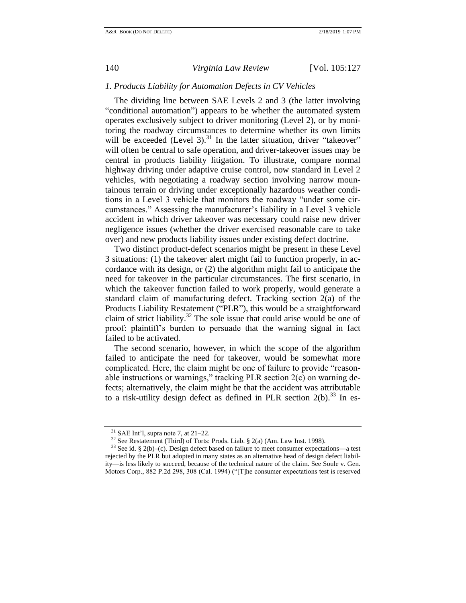## <span id="page-13-0"></span>*1. Products Liability for Automation Defects in CV Vehicles*

The dividing line between SAE Levels 2 and 3 (the latter involving "conditional automation") appears to be whether the automated system operates exclusively subject to driver monitoring (Level 2), or by monitoring the roadway circumstances to determine whether its own limits will be exceeded (Level 3). $31$  In the latter situation, driver "takeover" will often be central to safe operation, and driver-takeover issues may be central in products liability litigation. To illustrate, compare normal highway driving under adaptive cruise control, now standard in Level 2 vehicles, with negotiating a roadway section involving narrow mountainous terrain or driving under exceptionally hazardous weather conditions in a Level 3 vehicle that monitors the roadway "under some circumstances." Assessing the manufacturer's liability in a Level 3 vehicle accident in which driver takeover was necessary could raise new driver negligence issues (whether the driver exercised reasonable care to take over) and new products liability issues under existing defect doctrine.

Two distinct product-defect scenarios might be present in these Level 3 situations: (1) the takeover alert might fail to function properly, in accordance with its design, or (2) the algorithm might fail to anticipate the need for takeover in the particular circumstances. The first scenario, in which the takeover function failed to work properly, would generate a standard claim of manufacturing defect. Tracking section 2(a) of the Products Liability Restatement ("PLR"), this would be a straightforward claim of strict liability.<sup>32</sup> The sole issue that could arise would be one of proof: plaintiff's burden to persuade that the warning signal in fact failed to be activated.

<span id="page-13-1"></span>The second scenario, however, in which the scope of the algorithm failed to anticipate the need for takeover, would be somewhat more complicated. Here, the claim might be one of failure to provide "reasonable instructions or warnings," tracking  $PLR$  section  $2(c)$  on warning defects; alternatively, the claim might be that the accident was attributable to a risk-utility design defect as defined in PLR section 2(b).<sup>33</sup> In es-

 $31$  SAE Int'l, supra note [7,](#page-4-0) at 21–22.

<sup>&</sup>lt;sup>32</sup> See Restatement (Third) of Torts: Prods. Liab. § 2(a) (Am. Law Inst. 1998).

 $33$  See id. § 2(b)–(c). Design defect based on failure to meet consumer expectations—a test rejected by the PLR but adopted in many states as an alternative head of design defect liability—is less likely to succeed, because of the technical nature of the claim. See Soule v. Gen. Motors Corp., 882 P.2d 298, 308 (Cal. 1994) ("[T]he consumer expectations test is reserved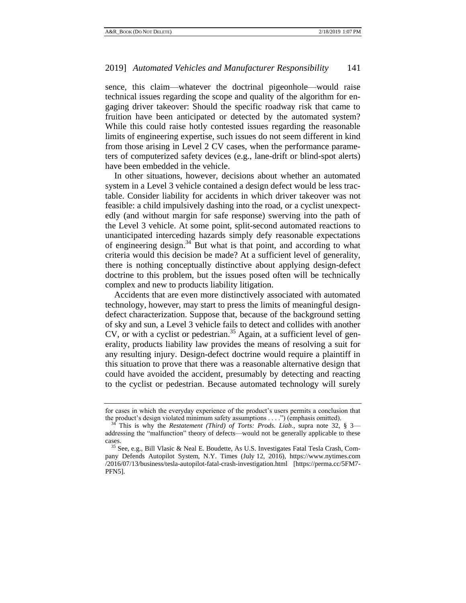sence, this claim—whatever the doctrinal pigeonhole—would raise technical issues regarding the scope and quality of the algorithm for engaging driver takeover: Should the specific roadway risk that came to fruition have been anticipated or detected by the automated system? While this could raise hotly contested issues regarding the reasonable limits of engineering expertise, such issues do not seem different in kind from those arising in Level 2 CV cases, when the performance parameters of computerized safety devices (e.g., lane-drift or blind-spot alerts) have been embedded in the vehicle.

In other situations, however, decisions about whether an automated system in a Level 3 vehicle contained a design defect would be less tractable. Consider liability for accidents in which driver takeover was not feasible: a child impulsively dashing into the road, or a cyclist unexpectedly (and without margin for safe response) swerving into the path of the Level 3 vehicle. At some point, split-second automated reactions to unanticipated interceding hazards simply defy reasonable expectations of engineering design. $34$  But what is that point, and according to what criteria would this decision be made? At a sufficient level of generality, there is nothing conceptually distinctive about applying design-defect doctrine to this problem, but the issues posed often will be technically complex and new to products liability litigation.

Accidents that are even more distinctively associated with automated technology, however, may start to press the limits of meaningful designdefect characterization. Suppose that, because of the background setting of sky and sun, a Level 3 vehicle fails to detect and collides with another CV, or with a cyclist or pedestrian.<sup>35</sup> Again, at a sufficient level of generality, products liability law provides the means of resolving a suit for any resulting injury. Design-defect doctrine would require a plaintiff in this situation to prove that there was a reasonable alternative design that could have avoided the accident, presumably by detecting and reacting to the cyclist or pedestrian. Because automated technology will surely

for cases in which the everyday experience of the product's users permits a conclusion that the product's design violated minimum safety assumptions . . . .") (emphasis omitted).

<sup>34</sup> This is why the *Restatement (Third) of Torts: Prods. Liab.*, supra note [32,](#page-13-1) § 3 addressing the "malfunction" theory of defects—would not be generally applicable to these cases.

<sup>35</sup> See, e.g., Bill Vlasic & Neal E. Boudette, As U.S. Investigates Fatal Tesla Crash, Company Defends Autopilot System, N.Y. Times (July 12, 2016), https://www.nytimes.com /2016/07/13/business/tesla-autopilot-fatal-crash-investigation.html [https://perma.cc/5FM7- PFN5].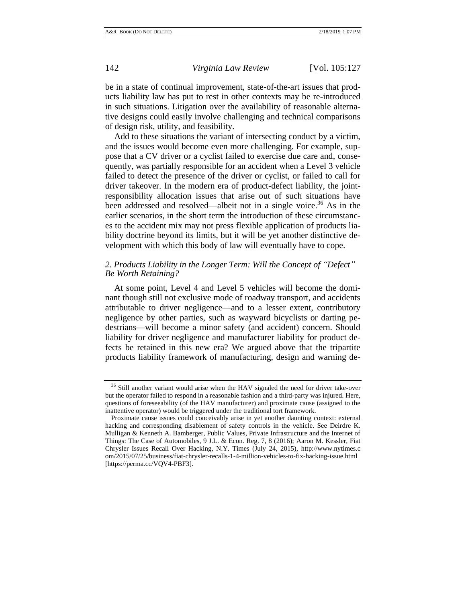be in a state of continual improvement, state-of-the-art issues that products liability law has put to rest in other contexts may be re-introduced in such situations. Litigation over the availability of reasonable alternative designs could easily involve challenging and technical comparisons of design risk, utility, and feasibility.

Add to these situations the variant of intersecting conduct by a victim, and the issues would become even more challenging. For example, suppose that a CV driver or a cyclist failed to exercise due care and, consequently, was partially responsible for an accident when a Level 3 vehicle failed to detect the presence of the driver or cyclist, or failed to call for driver takeover. In the modern era of product-defect liability, the jointresponsibility allocation issues that arise out of such situations have been addressed and resolved—albeit not in a single voice.<sup>36</sup> As in the earlier scenarios, in the short term the introduction of these circumstances to the accident mix may not press flexible application of products liability doctrine beyond its limits, but it will be yet another distinctive development with which this body of law will eventually have to cope.

# <span id="page-15-0"></span>*2. Products Liability in the Longer Term: Will the Concept of "Defect" Be Worth Retaining?*

At some point, Level 4 and Level 5 vehicles will become the dominant though still not exclusive mode of roadway transport, and accidents attributable to driver negligence—and to a lesser extent, contributory negligence by other parties, such as wayward bicyclists or darting pedestrians—will become a minor safety (and accident) concern. Should liability for driver negligence and manufacturer liability for product defects be retained in this new era? We argued above that the tripartite products liability framework of manufacturing, design and warning de-

<sup>&</sup>lt;sup>36</sup> Still another variant would arise when the HAV signaled the need for driver take-over but the operator failed to respond in a reasonable fashion and a third-party was injured. Here, questions of foreseeability (of the HAV manufacturer) and proximate cause (assigned to the inattentive operator) would be triggered under the traditional tort framework.

Proximate cause issues could conceivably arise in yet another daunting context: external hacking and corresponding disablement of safety controls in the vehicle. See Deirdre K. Mulligan & Kenneth A. Bamberger, Public Values, Private Infrastructure and the Internet of Things: The Case of Automobiles, 9 J.L. & Econ. Reg. 7, 8 (2016); Aaron M. Kessler, Fiat Chrysler Issues Recall Over Hacking, N.Y. Times (July 24, 2015), http://www.nytimes.c om/2015/07/25/business/fiat-chrysler-recalls-1-4-million-vehicles-to-fix-hacking-issue.html [https://perma.cc/VQV4-PBF3].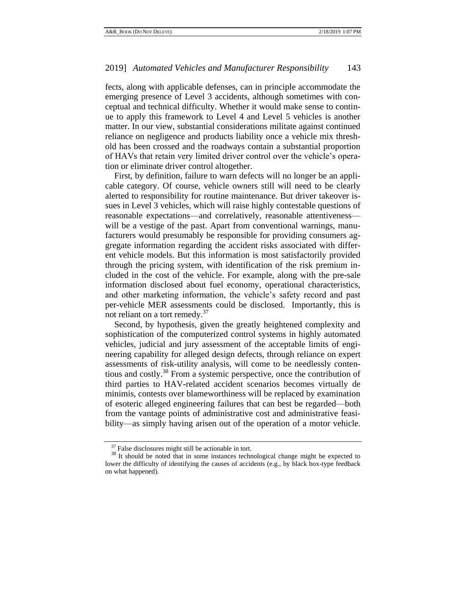fects, along with applicable defenses, can in principle accommodate the emerging presence of Level 3 accidents, although sometimes with conceptual and technical difficulty. Whether it would make sense to continue to apply this framework to Level 4 and Level 5 vehicles is another matter. In our view, substantial considerations militate against continued reliance on negligence and products liability once a vehicle mix threshold has been crossed and the roadways contain a substantial proportion of HAVs that retain very limited driver control over the vehicle's operation or eliminate driver control altogether.

First, by definition, failure to warn defects will no longer be an applicable category. Of course, vehicle owners still will need to be clearly alerted to responsibility for routine maintenance. But driver takeover issues in Level 3 vehicles, which will raise highly contestable questions of reasonable expectations—and correlatively, reasonable attentiveness will be a vestige of the past. Apart from conventional warnings, manufacturers would presumably be responsible for providing consumers aggregate information regarding the accident risks associated with different vehicle models. But this information is most satisfactorily provided through the pricing system, with identification of the risk premium included in the cost of the vehicle. For example, along with the pre-sale information disclosed about fuel economy, operational characteristics, and other marketing information, the vehicle's safety record and past per-vehicle MER assessments could be disclosed. Importantly, this is not reliant on a tort remedy.<sup>37</sup>

Second, by hypothesis, given the greatly heightened complexity and sophistication of the computerized control systems in highly automated vehicles, judicial and jury assessment of the acceptable limits of engineering capability for alleged design defects, through reliance on expert assessments of risk-utility analysis, will come to be needlessly contentious and costly.<sup>38</sup> From a systemic perspective, once the contribution of third parties to HAV-related accident scenarios becomes virtually de minimis, contests over blameworthiness will be replaced by examination of esoteric alleged engineering failures that can best be regarded—both from the vantage points of administrative cost and administrative feasibility—as simply having arisen out of the operation of a motor vehicle.

 $37$  False disclosures might still be actionable in tort.

<sup>&</sup>lt;sup>38</sup> It should be noted that in some instances technological change might be expected to lower the difficulty of identifying the causes of accidents (e.g., by black box-type feedback on what happened).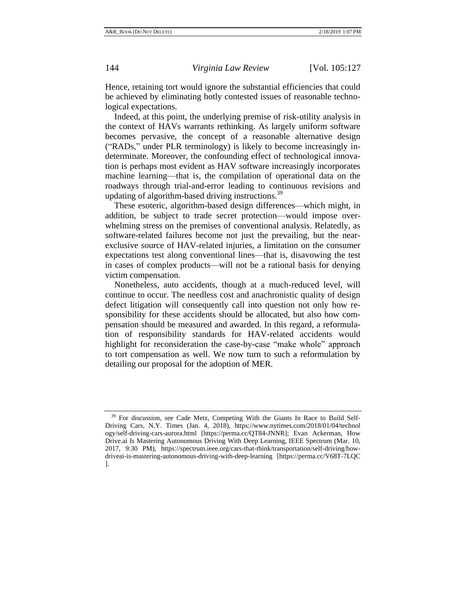Hence, retaining tort would ignore the substantial efficiencies that could be achieved by eliminating hotly contested issues of reasonable technological expectations.

Indeed, at this point, the underlying premise of risk-utility analysis in the context of HAVs warrants rethinking. As largely uniform software becomes pervasive, the concept of a reasonable alternative design ("RADs," under PLR terminology) is likely to become increasingly indeterminate. Moreover, the confounding effect of technological innovation is perhaps most evident as HAV software increasingly incorporates machine learning—that is, the compilation of operational data on the roadways through trial-and-error leading to continuous revisions and updating of algorithm-based driving instructions.<sup>39</sup>

These esoteric, algorithm-based design differences—which might, in addition, be subject to trade secret protection—would impose overwhelming stress on the premises of conventional analysis. Relatedly, as software-related failures become not just the prevailing, but the nearexclusive source of HAV-related injuries, a limitation on the consumer expectations test along conventional lines—that is, disavowing the test in cases of complex products—will not be a rational basis for denying victim compensation.

Nonetheless, auto accidents, though at a much-reduced level, will continue to occur. The needless cost and anachronistic quality of design defect litigation will consequently call into question not only how responsibility for these accidents should be allocated, but also how compensation should be measured and awarded. In this regard, a reformulation of responsibility standards for HAV-related accidents would highlight for reconsideration the case-by-case "make whole" approach to tort compensation as well. We now turn to such a reformulation by detailing our proposal for the adoption of MER.

<sup>&</sup>lt;sup>39</sup> For discussion, see Cade Metz, Competing With the Giants In Race to Build Self-Driving Cars, N.Y. Times (Jan. 4, 2018), https://www.nytimes.com/2018/01/04/technol ogy/self-driving-cars-aurora.html [https://perma.cc/QT84-JNNR]; Evan Ackerman, How Drive.ai Is Mastering Autonomous Driving With Deep Learning, IEEE Spectrum (Mar. 10, 2017, 9:30 PM), https://spectrum.ieee.org/cars-that-think/transportation/self-driving/howdriveai-is-mastering-autonomous-driving-with-deep-learning [https://perma.cc/V68T-7LQC ].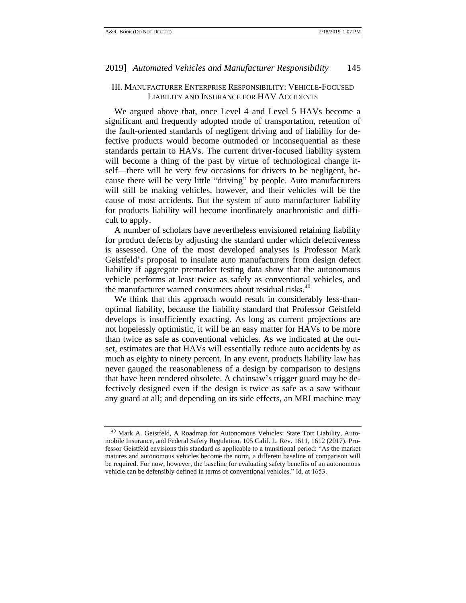# <span id="page-18-0"></span>III. MANUFACTURER ENTERPRISE RESPONSIBILITY: VEHICLE-FOCUSED LIABILITY AND INSURANCE FOR HAV ACCIDENTS

We argued above that, once Level 4 and Level 5 HAVs become a significant and frequently adopted mode of transportation, retention of the fault-oriented standards of negligent driving and of liability for defective products would become outmoded or inconsequential as these standards pertain to HAVs. The current driver-focused liability system will become a thing of the past by virtue of technological change itself—there will be very few occasions for drivers to be negligent, because there will be very little "driving" by people. Auto manufacturers will still be making vehicles, however, and their vehicles will be the cause of most accidents. But the system of auto manufacturer liability for products liability will become inordinately anachronistic and difficult to apply.

A number of scholars have nevertheless envisioned retaining liability for product defects by adjusting the standard under which defectiveness is assessed. One of the most developed analyses is Professor Mark Geistfeld's proposal to insulate auto manufacturers from design defect liability if aggregate premarket testing data show that the autonomous vehicle performs at least twice as safely as conventional vehicles, and the manufacturer warned consumers about residual risks.<sup>40</sup>

<span id="page-18-1"></span>We think that this approach would result in considerably less-thanoptimal liability, because the liability standard that Professor Geistfeld develops is insufficiently exacting. As long as current projections are not hopelessly optimistic, it will be an easy matter for HAVs to be more than twice as safe as conventional vehicles. As we indicated at the outset, estimates are that HAVs will essentially reduce auto accidents by as much as eighty to ninety percent. In any event, products liability law has never gauged the reasonableness of a design by comparison to designs that have been rendered obsolete. A chainsaw's trigger guard may be defectively designed even if the design is twice as safe as a saw without any guard at all; and depending on its side effects, an MRI machine may

<sup>&</sup>lt;sup>40</sup> Mark A. Geistfeld, A Roadmap for Autonomous Vehicles: State Tort Liability, Automobile Insurance, and Federal Safety Regulation, 105 Calif. L. Rev. 1611, 1612 (2017). Professor Geistfeld envisions this standard as applicable to a transitional period: "As the market matures and autonomous vehicles become the norm, a different baseline of comparison will be required. For now, however, the baseline for evaluating safety benefits of an autonomous vehicle can be defensibly defined in terms of conventional vehicles." Id. at 1653.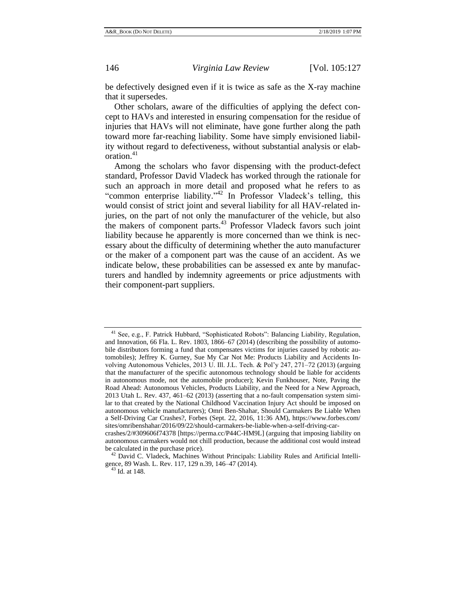be defectively designed even if it is twice as safe as the X-ray machine that it supersedes.

Other scholars, aware of the difficulties of applying the defect concept to HAVs and interested in ensuring compensation for the residue of injuries that HAVs will not eliminate, have gone further along the path toward more far-reaching liability. Some have simply envisioned liability without regard to defectiveness, without substantial analysis or elaboration.<sup>41</sup>

Among the scholars who favor dispensing with the product-defect standard, Professor David Vladeck has worked through the rationale for such an approach in more detail and proposed what he refers to as "common enterprise liability."<sup>42</sup> In Professor Vladeck's telling, this would consist of strict joint and several liability for all HAV-related injuries, on the part of not only the manufacturer of the vehicle, but also the makers of component parts.<sup>43</sup> Professor Vladeck favors such joint liability because he apparently is more concerned than we think is necessary about the difficulty of determining whether the auto manufacturer or the maker of a component part was the cause of an accident. As we indicate below, these probabilities can be assessed ex ante by manufacturers and handled by indemnity agreements or price adjustments with their component-part suppliers.

<sup>42</sup> David C. Vladeck, Machines Without Principals: Liability Rules and Artificial Intelligence, 89 Wash. L. Rev. 117, 129 n.39, 146-47 (2014).

<sup>41</sup> See, e.g., F. Patrick Hubbard, "Sophisticated Robots": Balancing Liability, Regulation, and Innovation, 66 Fla. L. Rev. 1803, 1866–67 (2014) (describing the possibility of automobile distributors forming a fund that compensates victims for injuries caused by robotic automobiles); Jeffrey K. Gurney, Sue My Car Not Me: Products Liability and Accidents Involving Autonomous Vehicles, 2013 U. Ill. J.L. Tech. & Pol'y 247, 271–72 (2013) (arguing that the manufacturer of the specific autonomous technology should be liable for accidents in autonomous mode, not the automobile producer); Kevin Funkhouser, Note, Paving the Road Ahead: Autonomous Vehicles, Products Liability, and the Need for a New Approach, 2013 Utah L. Rev. 437, 461–62 (2013) (asserting that a no-fault compensation system similar to that created by the National Childhood Vaccination Injury Act should be imposed on autonomous vehicle manufacturers); Omri Ben-Shahar, Should Carmakers Be Liable When a Self-Driving Car Crashes?, Forbes (Sept. 22, 2016, 11:36 AM), https://www.forbes.com/ sites/omribenshahar/2016/09/22/should-carmakers-be-liable-when-a-self-driving-car-

crashes/2/#309606f74378 [https://perma.cc/P44C-HM9L] (arguing that imposing liability on autonomous carmakers would not chill production, because the additional cost would instead be calculated in the purchase price).

<sup>43</sup> Id. at 148.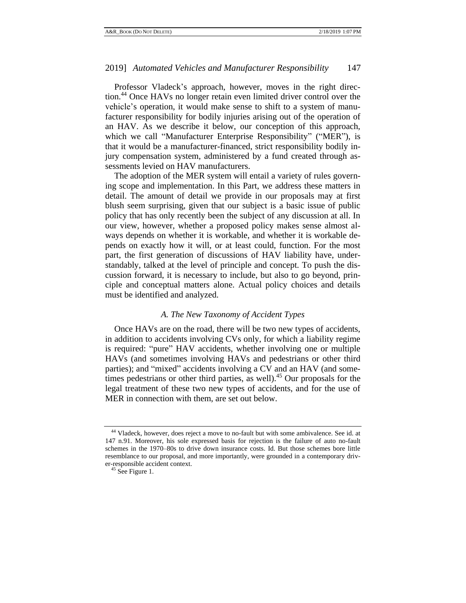Professor Vladeck's approach, however, moves in the right direction.<sup>44</sup> Once HAVs no longer retain even limited driver control over the vehicle's operation, it would make sense to shift to a system of manufacturer responsibility for bodily injuries arising out of the operation of an HAV. As we describe it below, our conception of this approach, which we call "Manufacturer Enterprise Responsibility" ("MER"), is that it would be a manufacturer-financed, strict responsibility bodily injury compensation system, administered by a fund created through assessments levied on HAV manufacturers.

The adoption of the MER system will entail a variety of rules governing scope and implementation. In this Part, we address these matters in detail. The amount of detail we provide in our proposals may at first blush seem surprising, given that our subject is a basic issue of public policy that has only recently been the subject of any discussion at all. In our view, however, whether a proposed policy makes sense almost always depends on whether it is workable, and whether it is workable depends on exactly how it will, or at least could, function. For the most part, the first generation of discussions of HAV liability have, understandably, talked at the level of principle and concept. To push the discussion forward, it is necessary to include, but also to go beyond, principle and conceptual matters alone. Actual policy choices and details must be identified and analyzed.

# *A. The New Taxonomy of Accident Types*

<span id="page-20-0"></span>Once HAVs are on the road, there will be two new types of accidents, in addition to accidents involving CVs only, for which a liability regime is required: "pure" HAV accidents, whether involving one or multiple HAVs (and sometimes involving HAVs and pedestrians or other third parties); and "mixed" accidents involving a CV and an HAV (and sometimes pedestrians or other third parties, as well).<sup>45</sup> Our proposals for the legal treatment of these two new types of accidents, and for the use of MER in connection with them, are set out below.

<sup>&</sup>lt;sup>44</sup> Vladeck, however, does reject a move to no-fault but with some ambivalence. See id. at 147 n.91. Moreover, his sole expressed basis for rejection is the failure of auto no-fault schemes in the 1970–80s to drive down insurance costs. Id. But those schemes bore little resemblance to our proposal, and more importantly, were grounded in a contemporary driver-responsible accident context.

 $45$  See Figure 1.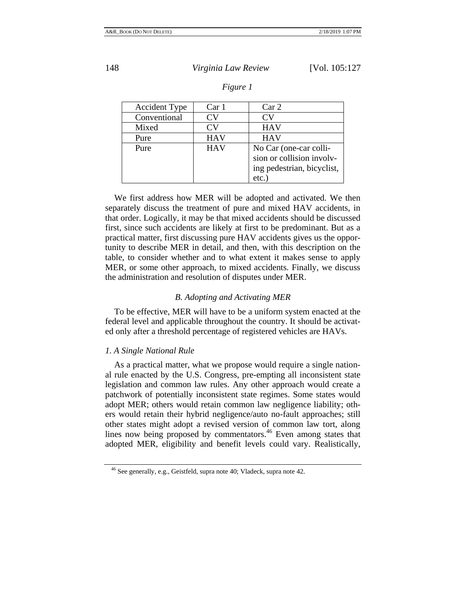ing pedestrian, bicyclist,

etc.)

| <b>Accident Type</b> | Car 1      | Car <sub>2</sub>          |
|----------------------|------------|---------------------------|
| Conventional         | CV)        | CV                        |
| Mixed                | CV         | <b>HAV</b>                |
| Pure                 | <b>HAV</b> | <b>HAV</b>                |
| Pure                 | <b>HAV</b> | No Car (one-car colli-    |
|                      |            | sion or collision involv- |

## *Figure 1*

We first address how MER will be adopted and activated. We then separately discuss the treatment of pure and mixed HAV accidents, in that order. Logically, it may be that mixed accidents should be discussed first, since such accidents are likely at first to be predominant. But as a practical matter, first discussing pure HAV accidents gives us the opportunity to describe MER in detail, and then, with this description on the table, to consider whether and to what extent it makes sense to apply MER, or some other approach, to mixed accidents. Finally, we discuss the administration and resolution of disputes under MER.

## *B. Adopting and Activating MER*

<span id="page-21-0"></span>To be effective, MER will have to be a uniform system enacted at the federal level and applicable throughout the country. It should be activated only after a threshold percentage of registered vehicles are HAVs.

## <span id="page-21-1"></span>*1. A Single National Rule*

As a practical matter, what we propose would require a single national rule enacted by the U.S. Congress, pre-empting all inconsistent state legislation and common law rules. Any other approach would create a patchwork of potentially inconsistent state regimes. Some states would adopt MER; others would retain common law negligence liability; others would retain their hybrid negligence/auto no-fault approaches; still other states might adopt a revised version of common law tort, along lines now being proposed by commentators.<sup>46</sup> Even among states that adopted MER, eligibility and benefit levels could vary. Realistically,

<sup>&</sup>lt;sup>46</sup> See generally, e.g., Geistfeld, supra note [40;](#page-18-1) Vladeck, supra note 42.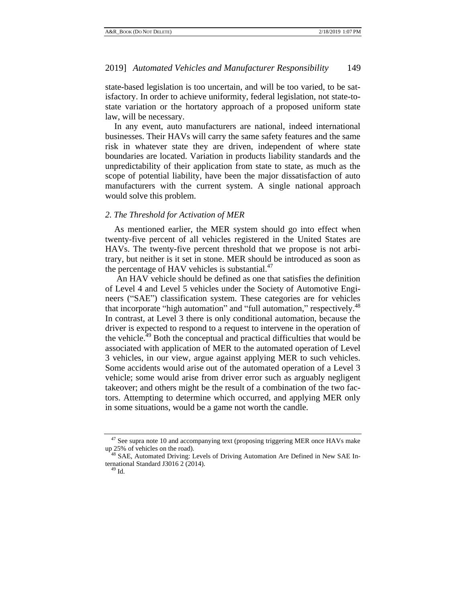state-based legislation is too uncertain, and will be too varied, to be satisfactory. In order to achieve uniformity, federal legislation, not state-tostate variation or the hortatory approach of a proposed uniform state law, will be necessary.

In any event, auto manufacturers are national, indeed international businesses. Their HAVs will carry the same safety features and the same risk in whatever state they are driven, independent of where state boundaries are located. Variation in products liability standards and the unpredictability of their application from state to state, as much as the scope of potential liability, have been the major dissatisfaction of auto manufacturers with the current system. A single national approach would solve this problem.

# <span id="page-22-0"></span>*2. The Threshold for Activation of MER*

As mentioned earlier, the MER system should go into effect when twenty-five percent of all vehicles registered in the United States are HAVs. The twenty-five percent threshold that we propose is not arbitrary, but neither is it set in stone. MER should be introduced as soon as the percentage of HAV vehicles is substantial. $47$ 

<span id="page-22-1"></span>An HAV vehicle should be defined as one that satisfies the definition of Level 4 and Level 5 vehicles under the Society of Automotive Engineers ("SAE") classification system. These categories are for vehicles that incorporate "high automation" and "full automation," respectively.<sup>48</sup> In contrast, at Level 3 there is only conditional automation, because the driver is expected to respond to a request to intervene in the operation of the vehicle.<sup>49</sup> Both the conceptual and practical difficulties that would be associated with application of MER to the automated operation of Level 3 vehicles, in our view, argue against applying MER to such vehicles. Some accidents would arise out of the automated operation of a Level 3 vehicle; some would arise from driver error such as arguably negligent takeover; and others might be the result of a combination of the two factors. Attempting to determine which occurred, and applying MER only in some situations, would be a game not worth the candle.

 $47$  See supra note [10](#page-5-1) and accompanying text (proposing triggering MER once HAVs make up 25% of vehicles on the road).

<sup>&</sup>lt;sup>48</sup> SAE, Automated Driving: Levels of Driving Automation Are Defined in New SAE International Standard J3016 2 (2014).

<sup>49</sup> Id.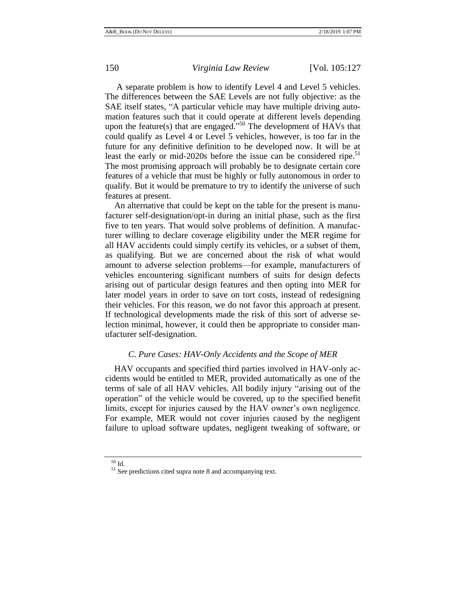A separate problem is how to identify Level 4 and Level 5 vehicles. The differences between the SAE Levels are not fully objective: as the SAE itself states, "A particular vehicle may have multiple driving automation features such that it could operate at different levels depending upon the feature(s) that are engaged.<sup>550</sup> The development of HAVs that could qualify as Level 4 or Level 5 vehicles, however, is too far in the future for any definitive definition to be developed now. It will be at least the early or mid-2020s before the issue can be considered ripe.<sup>51</sup> The most promising approach will probably be to designate certain core features of a vehicle that must be highly or fully autonomous in order to qualify. But it would be premature to try to identify the universe of such features at present.

An alternative that could be kept on the table for the present is manufacturer self-designation/opt-in during an initial phase, such as the first five to ten years. That would solve problems of definition. A manufacturer willing to declare coverage eligibility under the MER regime for all HAV accidents could simply certify its vehicles, or a subset of them, as qualifying. But we are concerned about the risk of what would amount to adverse selection problems—for example, manufacturers of vehicles encountering significant numbers of suits for design defects arising out of particular design features and then opting into MER for later model years in order to save on tort costs, instead of redesigning their vehicles. For this reason, we do not favor this approach at present. If technological developments made the risk of this sort of adverse selection minimal, however, it could then be appropriate to consider manufacturer self-designation.

# *C. Pure Cases: HAV-Only Accidents and the Scope of MER*

<span id="page-23-0"></span>HAV occupants and specified third parties involved in HAV-only accidents would be entitled to MER, provided automatically as one of the terms of sale of all HAV vehicles. All bodily injury "arising out of the operation" of the vehicle would be covered, up to the specified benefit limits, except for injuries caused by the HAV owner's own negligence. For example, MER would not cover injuries caused by the negligent failure to upload software updates, negligent tweaking of software, or

 $^{50}$  Id.

<sup>51</sup> See predictions cited supra note [8](#page-4-1) and accompanying text.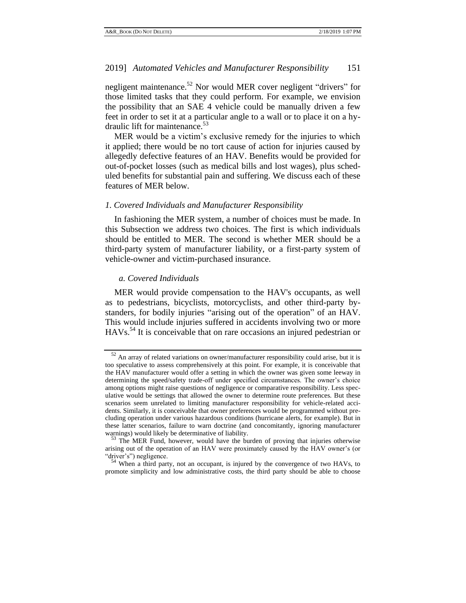<span id="page-24-2"></span>negligent maintenance.<sup>52</sup> Nor would MER cover negligent "drivers" for those limited tasks that they could perform. For example, we envision the possibility that an SAE 4 vehicle could be manually driven a few feet in order to set it at a particular angle to a wall or to place it on a hydraulic lift for maintenance.<sup>53</sup>

MER would be a victim's exclusive remedy for the injuries to which it applied; there would be no tort cause of action for injuries caused by allegedly defective features of an HAV. Benefits would be provided for out-of-pocket losses (such as medical bills and lost wages), plus scheduled benefits for substantial pain and suffering. We discuss each of these features of MER below.

## <span id="page-24-0"></span>*1. Covered Individuals and Manufacturer Responsibility*

In fashioning the MER system, a number of choices must be made. In this Subsection we address two choices. The first is which individuals should be entitled to MER. The second is whether MER should be a third-party system of manufacturer liability, or a first-party system of vehicle-owner and victim-purchased insurance.

## <span id="page-24-1"></span>*a. Covered Individuals*

MER would provide compensation to the HAV's occupants, as well as to pedestrians, bicyclists, motorcyclists, and other third-party bystanders, for bodily injuries "arising out of the operation" of an HAV. This would include injuries suffered in accidents involving two or more HAVs.<sup>54</sup> It is conceivable that on rare occasions an injured pedestrian or

 $52$  An array of related variations on owner/manufacturer responsibility could arise, but it is too speculative to assess comprehensively at this point. For example, it is conceivable that the HAV manufacturer would offer a setting in which the owner was given some leeway in determining the speed/safety trade-off under specified circumstances. The owner's choice among options might raise questions of negligence or comparative responsibility. Less speculative would be settings that allowed the owner to determine route preferences. But these scenarios seem unrelated to limiting manufacturer responsibility for vehicle-related accidents. Similarly, it is conceivable that owner preferences would be programmed without precluding operation under various hazardous conditions (hurricane alerts, for example). But in these latter scenarios, failure to warn doctrine (and concomitantly, ignoring manufacturer warnings) would likely be determinative of liability.

The MER Fund, however, would have the burden of proving that injuries otherwise arising out of the operation of an HAV were proximately caused by the HAV owner's (or "driver's") negligence.

When a third party, not an occupant, is injured by the convergence of two HAVs, to promote simplicity and low administrative costs, the third party should be able to choose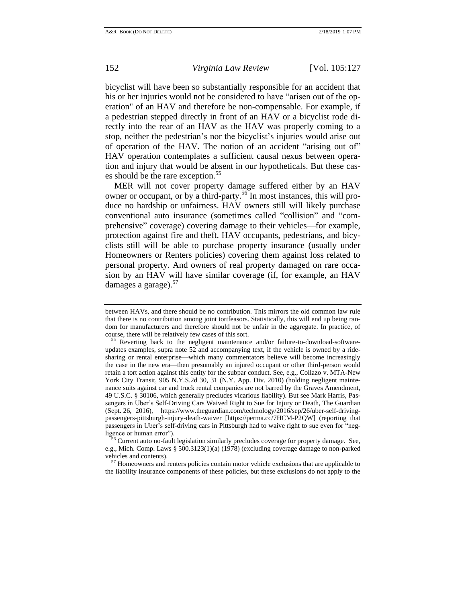bicyclist will have been so substantially responsible for an accident that his or her injuries would not be considered to have "arisen out of the operation" of an HAV and therefore be non-compensable. For example, if a pedestrian stepped directly in front of an HAV or a bicyclist rode directly into the rear of an HAV as the HAV was properly coming to a stop, neither the pedestrian's nor the bicyclist's injuries would arise out of operation of the HAV. The notion of an accident "arising out of" HAV operation contemplates a sufficient causal nexus between operation and injury that would be absent in our hypotheticals. But these cases should be the rare exception.<sup>55</sup>

MER will not cover property damage suffered either by an HAV owner or occupant, or by a third-party.<sup>56</sup> In most instances, this will produce no hardship or unfairness. HAV owners still will likely purchase conventional auto insurance (sometimes called "collision" and "comprehensive" coverage) covering damage to their vehicles—for example, protection against fire and theft. HAV occupants, pedestrians, and bicyclists still will be able to purchase property insurance (usually under Homeowners or Renters policies) covering them against loss related to personal property. And owners of real property damaged on rare occasion by an HAV will have similar coverage (if, for example, an HAV damages a garage). $57$ 

<sup>56</sup> Current auto no-fault legislation similarly precludes coverage for property damage. See, e.g., Mich. Comp. Laws § 500.3123(1)(a) (1978) (excluding coverage damage to non-parked vehicles and contents).

<sup>57</sup> Homeowners and renters policies contain motor vehicle exclusions that are applicable to the liability insurance components of these policies, but these exclusions do not apply to the

<span id="page-25-0"></span>between HAVs, and there should be no contribution. This mirrors the old common law rule that there is no contribution among joint tortfeasors. Statistically, this will end up being random for manufacturers and therefore should not be unfair in the aggregate. In practice, of course, there will be relatively few cases of this sort.

Reverting back to the negligent maintenance and/or failure-to-download-softwareupdates examples, supra note [52](#page-24-2) and accompanying text, if the vehicle is owned by a ridesharing or rental enterprise—which many commentators believe will become increasingly the case in the new era—then presumably an injured occupant or other third-person would retain a tort action against this entity for the subpar conduct. See, e.g., Collazo v. MTA-New York City Transit, 905 N.Y.S.2d 30, 31 (N.Y. App. Div. 2010) (holding negligent maintenance suits against car and truck rental companies are not barred by the Graves Amendment, 49 U.S.C. § 30106, which generally precludes vicarious liability). But see Mark Harris, Passengers in Uber's Self-Driving Cars Waived Right to Sue for Injury or Death, The Guardian (Sept. 26, 2016), https://www.theguardian.com/technology/2016/sep/26/uber-self-drivingpassengers-pittsburgh-injury-death-waiver [https://perma.cc/7HCM-P2QW] (reporting that passengers in Uber's self-driving cars in Pittsburgh had to waive right to sue even for "negligence or human error").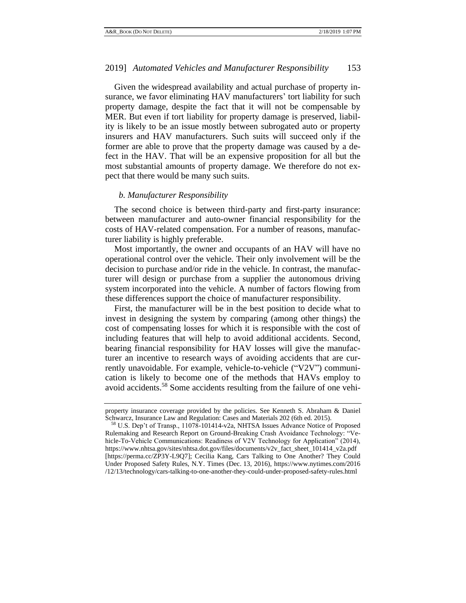Given the widespread availability and actual purchase of property insurance, we favor eliminating HAV manufacturers' tort liability for such property damage, despite the fact that it will not be compensable by MER. But even if tort liability for property damage is preserved, liability is likely to be an issue mostly between subrogated auto or property insurers and HAV manufacturers. Such suits will succeed only if the former are able to prove that the property damage was caused by a defect in the HAV. That will be an expensive proposition for all but the most substantial amounts of property damage. We therefore do not expect that there would be many such suits.

## <span id="page-26-0"></span>*b. Manufacturer Responsibility*

The second choice is between third-party and first-party insurance: between manufacturer and auto-owner financial responsibility for the costs of HAV-related compensation. For a number of reasons, manufacturer liability is highly preferable.

Most importantly, the owner and occupants of an HAV will have no operational control over the vehicle. Their only involvement will be the decision to purchase and/or ride in the vehicle. In contrast, the manufacturer will design or purchase from a supplier the autonomous driving system incorporated into the vehicle. A number of factors flowing from these differences support the choice of manufacturer responsibility.

First, the manufacturer will be in the best position to decide what to invest in designing the system by comparing (among other things) the cost of compensating losses for which it is responsible with the cost of including features that will help to avoid additional accidents. Second, bearing financial responsibility for HAV losses will give the manufacturer an incentive to research ways of avoiding accidents that are currently unavoidable. For example, vehicle-to-vehicle ("V2V") communication is likely to become one of the methods that HAVs employ to avoid accidents.<sup>58</sup> Some accidents resulting from the failure of one vehi-

property insurance coverage provided by the policies. See Kenneth S. Abraham & Daniel Schwarcz, Insurance Law and Regulation: Cases and Materials 202 (6th ed. 2015).

<sup>58</sup> U.S. Dep't of Transp., 11078-101414-v2a, NHTSA Issues Advance Notice of Proposed Rulemaking and Research Report on Ground-Breaking Crash Avoidance Technology: "Vehicle-To-Vehicle Communications: Readiness of V2V Technology for Application" (2014), https://www.nhtsa.gov/sites/nhtsa.dot.gov/files/documents/v2v\_fact\_sheet\_101414\_v2a.pdf [https://perma.cc/ZP3Y-L9Q7]; Cecilia Kang, Cars Talking to One Another? They Could Under Proposed Safety Rules, N.Y. Times (Dec. 13, 2016), https://www.nytimes.com/2016 /12/13/technology/cars-talking-to-one-another-they-could-under-proposed-safety-rules.html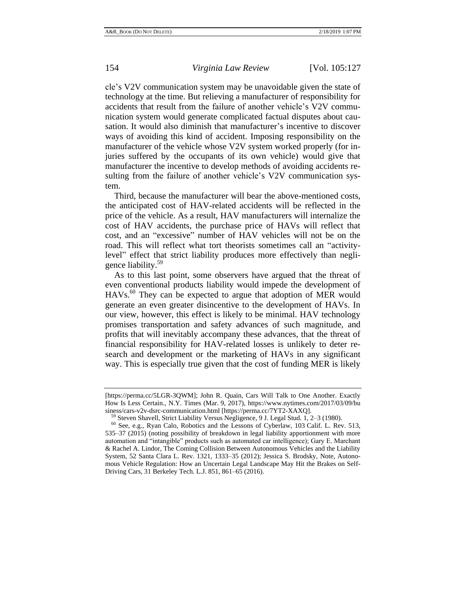cle's V2V communication system may be unavoidable given the state of technology at the time. But relieving a manufacturer of responsibility for accidents that result from the failure of another vehicle's V2V communication system would generate complicated factual disputes about causation. It would also diminish that manufacturer's incentive to discover ways of avoiding this kind of accident. Imposing responsibility on the manufacturer of the vehicle whose V2V system worked properly (for injuries suffered by the occupants of its own vehicle) would give that manufacturer the incentive to develop methods of avoiding accidents resulting from the failure of another vehicle's V2V communication system.

Third, because the manufacturer will bear the above-mentioned costs, the anticipated cost of HAV-related accidents will be reflected in the price of the vehicle. As a result, HAV manufacturers will internalize the cost of HAV accidents, the purchase price of HAVs will reflect that cost, and an "excessive" number of HAV vehicles will not be on the road. This will reflect what tort theorists sometimes call an "activitylevel" effect that strict liability produces more effectively than negligence liability.<sup>59</sup>

As to this last point, some observers have argued that the threat of even conventional products liability would impede the development of  $HAVs<sup>60</sup>$  They can be expected to argue that adoption of MER would generate an even greater disincentive to the development of HAVs. In our view, however, this effect is likely to be minimal. HAV technology promises transportation and safety advances of such magnitude, and profits that will inevitably accompany these advances, that the threat of financial responsibility for HAV-related losses is unlikely to deter research and development or the marketing of HAVs in any significant way. This is especially true given that the cost of funding MER is likely

<sup>[</sup>https://perma.cc/5LGR-3QWM]; John R. Quain, Cars Will Talk to One Another. Exactly How Is Less Certain., N.Y. Times (Mar. 9, 2017), https://www.nytimes.com/2017/03/09/bu siness/cars-v2v-dsrc-communication.html [https://perma.cc/7YT2-XAXQ].

Steven Shavell, Strict Liability Versus Negligence, 9 J. Legal Stud. 1,  $2-3$  (1980).

<sup>60</sup> See, e.g., Ryan Calo, Robotics and the Lessons of Cyberlaw, 103 Calif. L. Rev. 513, 535–37 (2015) (noting possibility of breakdown in legal liability apportionment with more automation and "intangible" products such as automated car intelligence); Gary E. Marchant & Rachel A. Lindor, The Coming Collision Between Autonomous Vehicles and the Liability System, 52 Santa Clara L. Rev. 1321, 1333–35 (2012); Jessica S. Brodsky, Note, Autonomous Vehicle Regulation: How an Uncertain Legal Landscape May Hit the Brakes on Self-Driving Cars, 31 Berkeley Tech. L.J. 851, 861–65 (2016).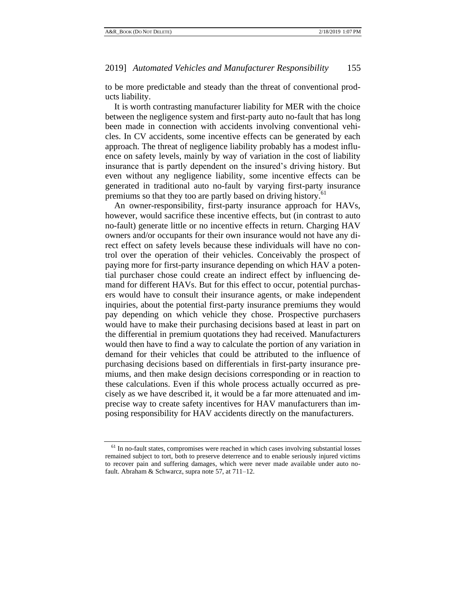to be more predictable and steady than the threat of conventional products liability.

It is worth contrasting manufacturer liability for MER with the choice between the negligence system and first-party auto no-fault that has long been made in connection with accidents involving conventional vehicles. In CV accidents, some incentive effects can be generated by each approach. The threat of negligence liability probably has a modest influence on safety levels, mainly by way of variation in the cost of liability insurance that is partly dependent on the insured's driving history. But even without any negligence liability, some incentive effects can be generated in traditional auto no-fault by varying first-party insurance premiums so that they too are partly based on driving history.<sup>61</sup>

An owner-responsibility, first-party insurance approach for HAVs, however, would sacrifice these incentive effects, but (in contrast to auto no-fault) generate little or no incentive effects in return. Charging HAV owners and/or occupants for their own insurance would not have any direct effect on safety levels because these individuals will have no control over the operation of their vehicles. Conceivably the prospect of paying more for first-party insurance depending on which HAV a potential purchaser chose could create an indirect effect by influencing demand for different HAVs. But for this effect to occur, potential purchasers would have to consult their insurance agents, or make independent inquiries, about the potential first-party insurance premiums they would pay depending on which vehicle they chose. Prospective purchasers would have to make their purchasing decisions based at least in part on the differential in premium quotations they had received. Manufacturers would then have to find a way to calculate the portion of any variation in demand for their vehicles that could be attributed to the influence of purchasing decisions based on differentials in first-party insurance premiums, and then make design decisions corresponding or in reaction to these calculations. Even if this whole process actually occurred as precisely as we have described it, it would be a far more attenuated and imprecise way to create safety incentives for HAV manufacturers than imposing responsibility for HAV accidents directly on the manufacturers.

 $61$  In no-fault states, compromises were reached in which cases involving substantial losses remained subject to tort, both to preserve deterrence and to enable seriously injured victims to recover pain and suffering damages, which were never made available under auto nofault. Abraham & Schwarcz, supra note [57,](#page-25-0) at 711–12.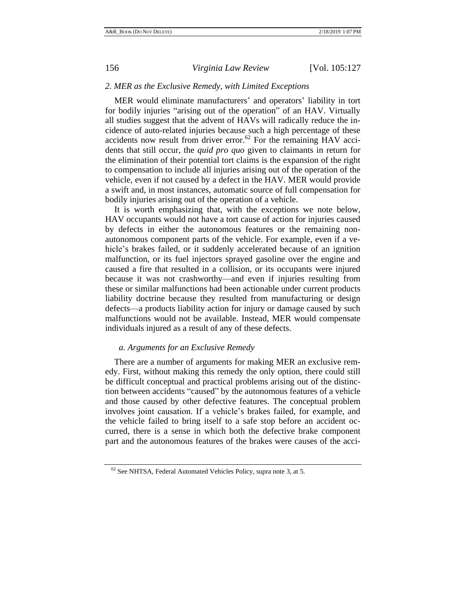## <span id="page-29-0"></span>*2. MER as the Exclusive Remedy, with Limited Exceptions*

MER would eliminate manufacturers' and operators' liability in tort for bodily injuries "arising out of the operation" of an HAV. Virtually all studies suggest that the advent of HAVs will radically reduce the incidence of auto-related injuries because such a high percentage of these accidents now result from driver error.<sup>62</sup> For the remaining HAV accidents that still occur, the *quid pro quo* given to claimants in return for the elimination of their potential tort claims is the expansion of the right to compensation to include all injuries arising out of the operation of the vehicle, even if not caused by a defect in the HAV. MER would provide a swift and, in most instances, automatic source of full compensation for bodily injuries arising out of the operation of a vehicle.

It is worth emphasizing that, with the exceptions we note below, HAV occupants would not have a tort cause of action for injuries caused by defects in either the autonomous features or the remaining nonautonomous component parts of the vehicle. For example, even if a vehicle's brakes failed, or it suddenly accelerated because of an ignition malfunction, or its fuel injectors sprayed gasoline over the engine and caused a fire that resulted in a collision, or its occupants were injured because it was not crashworthy—and even if injuries resulting from these or similar malfunctions had been actionable under current products liability doctrine because they resulted from manufacturing or design defects—a products liability action for injury or damage caused by such malfunctions would not be available. Instead, MER would compensate individuals injured as a result of any of these defects.

# <span id="page-29-1"></span>*a. Arguments for an Exclusive Remedy*

There are a number of arguments for making MER an exclusive remedy. First, without making this remedy the only option, there could still be difficult conceptual and practical problems arising out of the distinction between accidents "caused" by the autonomous features of a vehicle and those caused by other defective features. The conceptual problem involves joint causation. If a vehicle's brakes failed, for example, and the vehicle failed to bring itself to a safe stop before an accident occurred, there is a sense in which both the defective brake component part and the autonomous features of the brakes were causes of the acci-

<sup>&</sup>lt;sup>62</sup> See NHTSA, Federal Automated Vehicles Policy, supra not[e 3,](#page-2-2) at 5.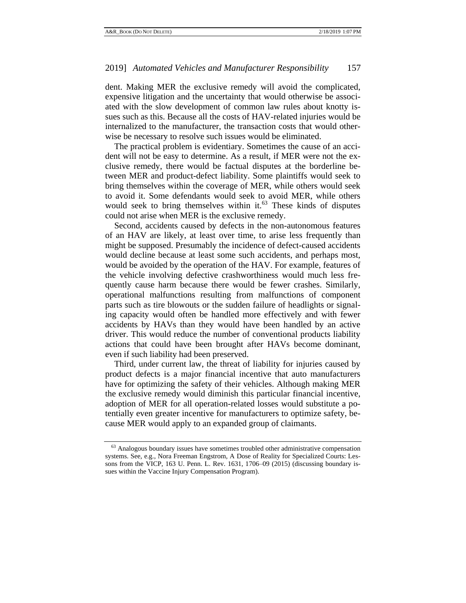dent. Making MER the exclusive remedy will avoid the complicated, expensive litigation and the uncertainty that would otherwise be associated with the slow development of common law rules about knotty issues such as this. Because all the costs of HAV-related injuries would be internalized to the manufacturer, the transaction costs that would otherwise be necessary to resolve such issues would be eliminated.

The practical problem is evidentiary. Sometimes the cause of an accident will not be easy to determine. As a result, if MER were not the exclusive remedy, there would be factual disputes at the borderline between MER and product-defect liability. Some plaintiffs would seek to bring themselves within the coverage of MER, while others would seek to avoid it. Some defendants would seek to avoid MER, while others would seek to bring themselves within it. $63$  These kinds of disputes could not arise when MER is the exclusive remedy.

<span id="page-30-0"></span>Second, accidents caused by defects in the non-autonomous features of an HAV are likely, at least over time, to arise less frequently than might be supposed. Presumably the incidence of defect-caused accidents would decline because at least some such accidents, and perhaps most, would be avoided by the operation of the HAV. For example, features of the vehicle involving defective crashworthiness would much less frequently cause harm because there would be fewer crashes. Similarly, operational malfunctions resulting from malfunctions of component parts such as tire blowouts or the sudden failure of headlights or signaling capacity would often be handled more effectively and with fewer accidents by HAVs than they would have been handled by an active driver. This would reduce the number of conventional products liability actions that could have been brought after HAVs become dominant, even if such liability had been preserved.

Third, under current law, the threat of liability for injuries caused by product defects is a major financial incentive that auto manufacturers have for optimizing the safety of their vehicles. Although making MER the exclusive remedy would diminish this particular financial incentive, adoption of MER for all operation-related losses would substitute a potentially even greater incentive for manufacturers to optimize safety, because MER would apply to an expanded group of claimants.

<sup>&</sup>lt;sup>63</sup> Analogous boundary issues have sometimes troubled other administrative compensation systems. See, e.g., Nora Freeman Engstrom, A Dose of Reality for Specialized Courts: Lessons from the VICP, 163 U. Penn. L. Rev. 1631, 1706–09 (2015) (discussing boundary issues within the Vaccine Injury Compensation Program).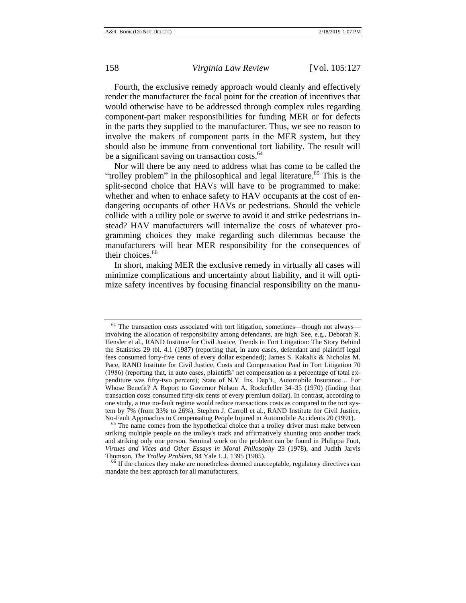Fourth, the exclusive remedy approach would cleanly and effectively render the manufacturer the focal point for the creation of incentives that would otherwise have to be addressed through complex rules regarding component-part maker responsibilities for funding MER or for defects in the parts they supplied to the manufacturer. Thus, we see no reason to involve the makers of component parts in the MER system, but they should also be immune from conventional tort liability. The result will be a significant saving on transaction costs. $64$ 

Nor will there be any need to address what has come to be called the "trolley problem" in the philosophical and legal literature.<sup>65</sup> This is the split-second choice that HAVs will have to be programmed to make: whether and when to enhace safety to HAV occupants at the cost of endangering occupants of other HAVs or pedestrians. Should the vehicle collide with a utility pole or swerve to avoid it and strike pedestrians instead? HAV manufacturers will internalize the costs of whatever programming choices they make regarding such dilemmas because the manufacturers will bear MER responsibility for the consequences of their choices.<sup>66</sup>

In short, making MER the exclusive remedy in virtually all cases will minimize complications and uncertainty about liability, and it will optimize safety incentives by focusing financial responsibility on the manu-

<sup>&</sup>lt;sup>64</sup> The transaction costs associated with tort litigation, sometimes—though not always involving the allocation of responsibility among defendants, are high. See, e.g., Deborah R. Hensler et al., RAND Institute for Civil Justice, Trends in Tort Litigation: The Story Behind the Statistics 29 tbl. 4.1 (1987) (reporting that, in auto cases, defendant and plaintiff legal fees consumed forty-five cents of every dollar expended); James S. Kakalik & Nicholas M. Pace, RAND Institute for Civil Justice, Costs and Compensation Paid in Tort Litigation 70 (1986) (reporting that, in auto cases, plaintiffs' net compensation as a percentage of total expenditure was fifty-two percent); State of N.Y. Ins. Dep't., Automobile Insurance… For Whose Benefit? A Report to Governor Nelson A. Rockefeller 34–35 (1970) (finding that transaction costs consumed fifty-six cents of every premium dollar). In contrast, according to one study, a true no-fault regime would reduce transactions costs as compared to the tort system by 7% (from 33% to 26%). Stephen J. Carroll et al., RAND Institute for Civil Justice, No-Fault Approaches to Compensating People Injured in Automobile Accidents 20 (1991).

<sup>&</sup>lt;sup>65</sup> The name comes from the hypothetical choice that a trolley driver must make between striking multiple people on the trolley's track and affirmatively shunting onto another track and striking only one person. Seminal work on the problem can be found in Philippa Foot, *Virtues and Vices and Other Essays in Moral Philosophy* 23 (1978), and Judith Jarvis Thomson, *The Trolley Problem*, 94 Yale L.J. 1395 (1985).

<sup>&</sup>lt;sup>66</sup> If the choices they make are nonetheless deemed unacceptable, regulatory directives can mandate the best approach for all manufacturers.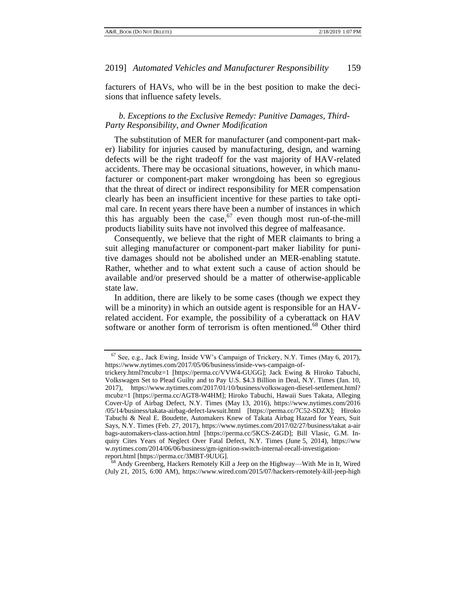facturers of HAVs, who will be in the best position to make the decisions that influence safety levels.

# <span id="page-32-0"></span>*b. Exceptions to the Exclusive Remedy: Punitive Damages, Third-Party Responsibility, and Owner Modification*

The substitution of MER for manufacturer (and component-part maker) liability for injuries caused by manufacturing, design, and warning defects will be the right tradeoff for the vast majority of HAV-related accidents. There may be occasional situations, however, in which manufacturer or component-part maker wrongdoing has been so egregious that the threat of direct or indirect responsibility for MER compensation clearly has been an insufficient incentive for these parties to take optimal care. In recent years there have been a number of instances in which this has arguably been the case,  $67$  even though most run-of-the-mill products liability suits have not involved this degree of malfeasance.

Consequently, we believe that the right of MER claimants to bring a suit alleging manufacturer or component-part maker liability for punitive damages should not be abolished under an MER-enabling statute. Rather, whether and to what extent such a cause of action should be available and/or preserved should be a matter of otherwise-applicable state law.

In addition, there are likely to be some cases (though we expect they will be a minority) in which an outside agent is responsible for an HAVrelated accident. For example, the possibility of a cyberattack on HAV software or another form of terrorism is often mentioned.<sup>68</sup> Other third

 $67$  See, e.g., Jack Ewing, Inside VW's Campaign of Trickery, N.Y. Times (May 6, 2017), https://www.nytimes.com/2017/05/06/business/inside-vws-campaign-of-

trickery.html?mcubz=1 [https://perma.cc/VVW4-GUGG]; Jack Ewing & Hiroko Tabuchi, Volkswagen Set to Plead Guilty and to Pay U.S. \$4.3 Billion in Deal, N.Y. Times (Jan. 10, 2017), https://www.nytimes.com/2017/01/10/business/volkswagen-diesel-settlement.html? mcubz=1 [https://perma.cc/AGT8-W4HM]; Hiroko Tabuchi, Hawaii Sues Takata, Alleging Cover-Up of Airbag Defect, N.Y. Times (May 13, 2016), https://www.nytimes.com/2016 /05/14/business/takata-airbag-defect-lawsuit.html [https://perma.cc/7C52-SDZX]; Hiroko Tabuchi & Neal E. Boudette, Automakers Knew of Takata Airbag Hazard for Years, Suit Says, N.Y. Times (Feb. 27, 2017), https://www.nytimes.com/2017/02/27/business/takat a-air bags-automakers-class-action.html [https://perma.cc/5KCS-Z4GD]; Bill Vlasic, G.M. Inquiry Cites Years of Neglect Over Fatal Defect, N.Y. Times (June 5, 2014), https://ww w.nytimes.com/2014/06/06/business/gm-ignition-switch-internal-recall-investigationreport.html [https://perma.cc/3MBT-9UUG].

Andy Greenberg, Hackers Remotely Kill a Jeep on the Highway—With Me in It, Wired (July 21, 2015, 6:00 AM), https://www.wired.com/2015/07/hackers-remotely-kill-jeep-high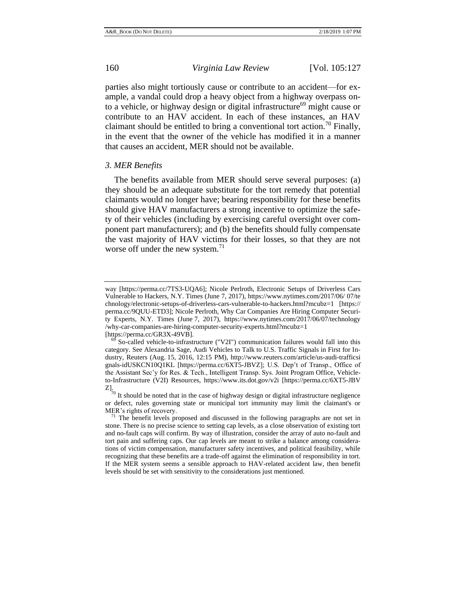parties also might tortiously cause or contribute to an accident—for example, a vandal could drop a heavy object from a highway overpass onto a vehicle, or highway design or digital infrastructure<sup>69</sup> might cause or contribute to an HAV accident. In each of these instances, an HAV claimant should be entitled to bring a conventional tort action.<sup>70</sup> Finally, in the event that the owner of the vehicle has modified it in a manner that causes an accident, MER should not be available.

#### <span id="page-33-0"></span>*3. MER Benefits*

The benefits available from MER should serve several purposes: (a) they should be an adequate substitute for the tort remedy that potential claimants would no longer have; bearing responsibility for these benefits should give HAV manufacturers a strong incentive to optimize the safety of their vehicles (including by exercising careful oversight over component part manufacturers); and (b) the benefits should fully compensate the vast majority of HAV victims for their losses, so that they are not worse off under the new system.<sup>71</sup>

way [https://perma.cc/7TS3-UQA6]; Nicole Perlroth, Electronic Setups of Driverless Cars Vulnerable to Hackers, N.Y. Times (June 7, 2017), https://www.nytimes.com/2017/06/ 07/te chnology/electronic-setups-of-driverless-cars-vulnerable-to-hackers.html?mcubz=1 [https:// perma.cc/9QUU-ETD3]; Nicole Perlroth, Why Car Companies Are Hiring Computer Security Experts, N.Y. Times (June 7, 2017), https://www.nytimes.com/2017/06/07/technology /why-car-companies-are-hiring-computer-security-experts.html?mcubz=1 [https://perma.cc/GR3X-49VB].

<sup>69</sup> So-called vehicle-to-infrastructure ("V2I") communication failures would fall into this category. See Alexandria Sage, Audi Vehicles to Talk to U.S. Traffic Signals in First for Industry, Reuters (Aug. 15, 2016, 12:15 PM), http://www.reuters.com/article/us-audi-trafficsi gnals-idUSKCN10Q1KL [https://perma.cc/6XT5-JBVZ]; U.S. Dep't of Transp., Office of the Assistant Sec'y for Res. & Tech., Intelligent Transp. Sys. Joint Program Office, Vehicleto-Infrastructure (V2I) Resources, https://www.its.dot.gov/v2i [https://perma.cc/6XT5-JBV Z].

 $70$  It should be noted that in the case of highway design or digital infrastructure negligence or defect, rules governing state or municipal tort immunity may limit the claimant's or MER's rights of recovery.

 $71$  The benefit levels proposed and discussed in the following paragraphs are not set in stone. There is no precise science to setting cap levels, as a close observation of existing tort and no-fault caps will confirm. By way of illustration, consider the array of auto no-fault and tort pain and suffering caps. Our cap levels are meant to strike a balance among considerations of victim compensation, manufacturer safety incentives, and political feasibility, while recognizing that these benefits are a trade-off against the elimination of responsibility in tort. If the MER system seems a sensible approach to HAV-related accident law, then benefit levels should be set with sensitivity to the considerations just mentioned.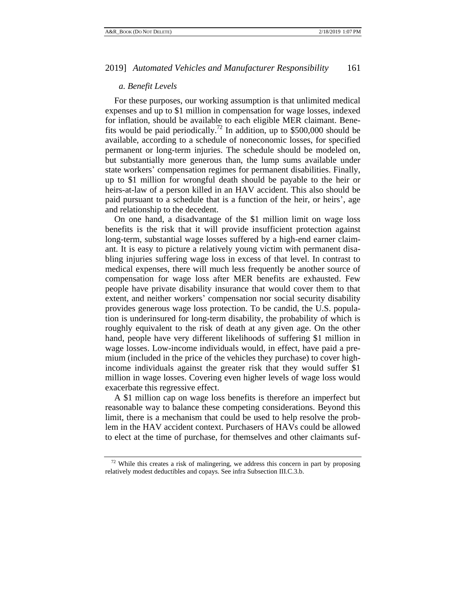## <span id="page-34-0"></span>*a. Benefit Levels*

For these purposes, our working assumption is that unlimited medical expenses and up to \$1 million in compensation for wage losses, indexed for inflation, should be available to each eligible MER claimant. Benefits would be paid periodically.<sup>72</sup> In addition, up to \$500,000 should be available, according to a schedule of noneconomic losses, for specified permanent or long-term injuries. The schedule should be modeled on, but substantially more generous than, the lump sums available under state workers' compensation regimes for permanent disabilities. Finally, up to \$1 million for wrongful death should be payable to the heir or heirs-at-law of a person killed in an HAV accident. This also should be paid pursuant to a schedule that is a function of the heir, or heirs', age and relationship to the decedent.

On one hand, a disadvantage of the \$1 million limit on wage loss benefits is the risk that it will provide insufficient protection against long-term, substantial wage losses suffered by a high-end earner claimant. It is easy to picture a relatively young victim with permanent disabling injuries suffering wage loss in excess of that level. In contrast to medical expenses, there will much less frequently be another source of compensation for wage loss after MER benefits are exhausted. Few people have private disability insurance that would cover them to that extent, and neither workers' compensation nor social security disability provides generous wage loss protection. To be candid, the U.S. population is underinsured for long-term disability, the probability of which is roughly equivalent to the risk of death at any given age. On the other hand, people have very different likelihoods of suffering \$1 million in wage losses. Low-income individuals would, in effect, have paid a premium (included in the price of the vehicles they purchase) to cover highincome individuals against the greater risk that they would suffer \$1 million in wage losses. Covering even higher levels of wage loss would exacerbate this regressive effect.

A \$1 million cap on wage loss benefits is therefore an imperfect but reasonable way to balance these competing considerations. Beyond this limit, there is a mechanism that could be used to help resolve the problem in the HAV accident context. Purchasers of HAVs could be allowed to elect at the time of purchase, for themselves and other claimants suf-

 $72$  While this creates a risk of malingering, we address this concern in part by proposing relatively modest deductibles and copays. See infra Subsection III.C.3.b.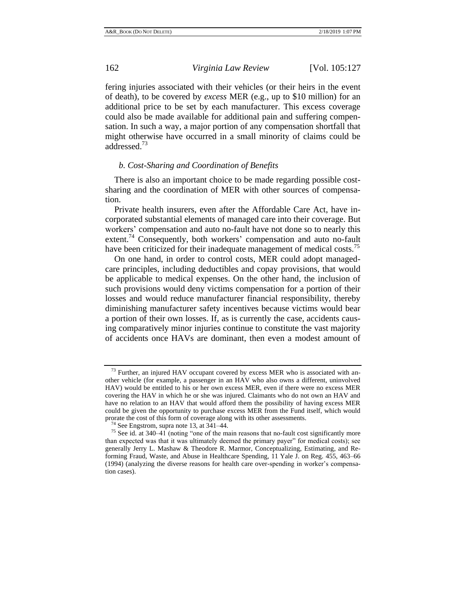fering injuries associated with their vehicles (or their heirs in the event of death), to be covered by *excess* MER (e.g., up to \$10 million) for an additional price to be set by each manufacturer. This excess coverage could also be made available for additional pain and suffering compensation. In such a way, a major portion of any compensation shortfall that might otherwise have occurred in a small minority of claims could be addressed.<sup>73</sup>

## <span id="page-35-0"></span>*b. Cost-Sharing and Coordination of Benefits*

There is also an important choice to be made regarding possible costsharing and the coordination of MER with other sources of compensation.

Private health insurers, even after the Affordable Care Act, have incorporated substantial elements of managed care into their coverage. But workers' compensation and auto no-fault have not done so to nearly this extent.<sup>74</sup> Consequently, both workers' compensation and auto no-fault have been criticized for their inadequate management of medical costs.<sup>75</sup>

On one hand, in order to control costs, MER could adopt managedcare principles, including deductibles and copay provisions, that would be applicable to medical expenses. On the other hand, the inclusion of such provisions would deny victims compensation for a portion of their losses and would reduce manufacturer financial responsibility, thereby diminishing manufacturer safety incentives because victims would bear a portion of their own losses. If, as is currently the case, accidents causing comparatively minor injuries continue to constitute the vast majority of accidents once HAVs are dominant, then even a modest amount of

 $73$  Further, an injured HAV occupant covered by excess MER who is associated with another vehicle (for example, a passenger in an HAV who also owns a different, uninvolved HAV) would be entitled to his or her own excess MER, even if there were no excess MER covering the HAV in which he or she was injured. Claimants who do not own an HAV and have no relation to an HAV that would afford them the possibility of having excess MER could be given the opportunity to purchase excess MER from the Fund itself, which would prorate the cost of this form of coverage along with its other assessments.

 $74$  See Engstrom, supra not[e 13,](#page-7-0) at 341–44.

<sup>&</sup>lt;sup>75</sup> See id. at 340–41 (noting "one of the main reasons that no-fault cost significantly more than expected was that it was ultimately deemed the primary payer" for medical costs); see generally Jerry L. Mashaw & Theodore R. Marmor, Conceptualizing, Estimating, and Reforming Fraud, Waste, and Abuse in Healthcare Spending, 11 Yale J. on Reg. 455, 463–66 (1994) (analyzing the diverse reasons for health care over-spending in worker's compensation cases).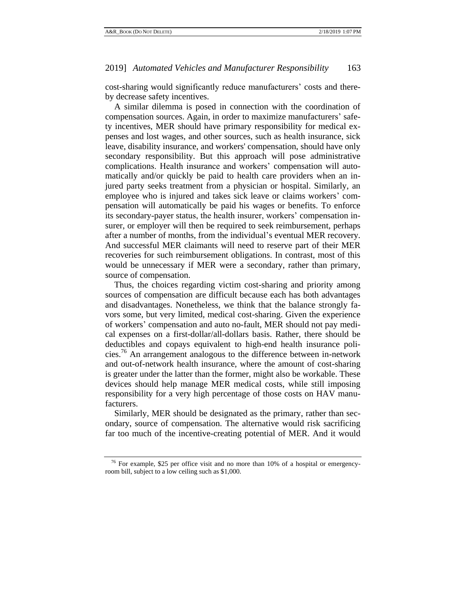cost-sharing would significantly reduce manufacturers' costs and thereby decrease safety incentives.

A similar dilemma is posed in connection with the coordination of compensation sources. Again, in order to maximize manufacturers' safety incentives, MER should have primary responsibility for medical expenses and lost wages, and other sources, such as health insurance, sick leave, disability insurance, and workers' compensation, should have only secondary responsibility. But this approach will pose administrative complications. Health insurance and workers' compensation will automatically and/or quickly be paid to health care providers when an injured party seeks treatment from a physician or hospital. Similarly, an employee who is injured and takes sick leave or claims workers' compensation will automatically be paid his wages or benefits. To enforce its secondary-payer status, the health insurer, workers' compensation insurer, or employer will then be required to seek reimbursement, perhaps after a number of months, from the individual's eventual MER recovery. And successful MER claimants will need to reserve part of their MER recoveries for such reimbursement obligations. In contrast, most of this would be unnecessary if MER were a secondary, rather than primary, source of compensation.

Thus, the choices regarding victim cost-sharing and priority among sources of compensation are difficult because each has both advantages and disadvantages. Nonetheless, we think that the balance strongly favors some, but very limited, medical cost-sharing. Given the experience of workers' compensation and auto no-fault, MER should not pay medical expenses on a first-dollar/all-dollars basis. Rather, there should be deductibles and copays equivalent to high-end health insurance policies.<sup>76</sup> An arrangement analogous to the difference between in-network and out-of-network health insurance, where the amount of cost-sharing is greater under the latter than the former, might also be workable. These devices should help manage MER medical costs, while still imposing responsibility for a very high percentage of those costs on HAV manufacturers.

Similarly, MER should be designated as the primary, rather than secondary, source of compensation. The alternative would risk sacrificing far too much of the incentive-creating potential of MER. And it would

 $76$  For example, \$25 per office visit and no more than 10% of a hospital or emergencyroom bill, subject to a low ceiling such as \$1,000.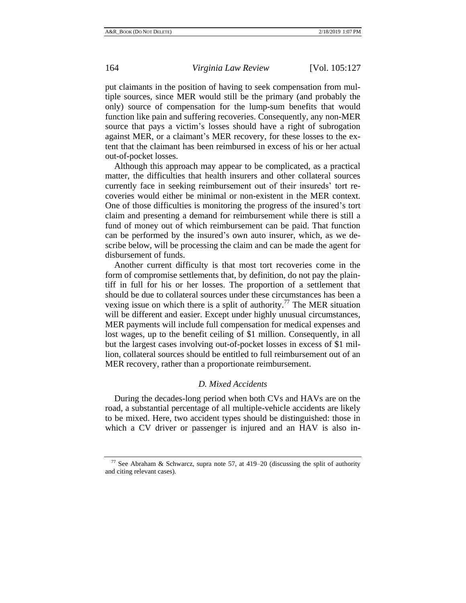put claimants in the position of having to seek compensation from multiple sources, since MER would still be the primary (and probably the only) source of compensation for the lump-sum benefits that would function like pain and suffering recoveries. Consequently, any non-MER source that pays a victim's losses should have a right of subrogation against MER, or a claimant's MER recovery, for these losses to the extent that the claimant has been reimbursed in excess of his or her actual out-of-pocket losses.

Although this approach may appear to be complicated, as a practical matter, the difficulties that health insurers and other collateral sources currently face in seeking reimbursement out of their insureds' tort recoveries would either be minimal or non-existent in the MER context. One of those difficulties is monitoring the progress of the insured's tort claim and presenting a demand for reimbursement while there is still a fund of money out of which reimbursement can be paid. That function can be performed by the insured's own auto insurer, which, as we describe below, will be processing the claim and can be made the agent for disbursement of funds.

Another current difficulty is that most tort recoveries come in the form of compromise settlements that, by definition, do not pay the plaintiff in full for his or her losses. The proportion of a settlement that should be due to collateral sources under these circumstances has been a vexing issue on which there is a split of authority.<sup>77</sup> The MER situation will be different and easier. Except under highly unusual circumstances, MER payments will include full compensation for medical expenses and lost wages, up to the benefit ceiling of \$1 million. Consequently, in all but the largest cases involving out-of-pocket losses in excess of \$1 million, collateral sources should be entitled to full reimbursement out of an MER recovery, rather than a proportionate reimbursement.

## *D. Mixed Accidents*

<span id="page-37-0"></span>During the decades-long period when both CVs and HAVs are on the road, a substantial percentage of all multiple-vehicle accidents are likely to be mixed. Here, two accident types should be distinguished: those in which a CV driver or passenger is injured and an HAV is also in-

<sup>&</sup>lt;sup>77</sup> See Abraham & Schwarcz, supra note [57,](#page-25-0) at 419–20 (discussing the split of authority and citing relevant cases).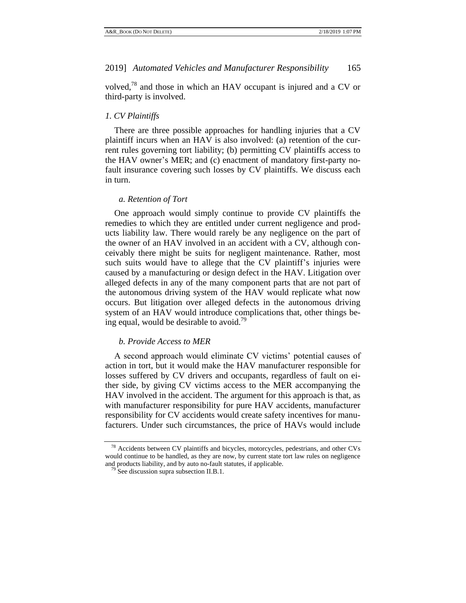volved,<sup>78</sup> and those in which an HAV occupant is injured and a CV or third-party is involved.

## <span id="page-38-0"></span>*1. CV Plaintiffs*

There are three possible approaches for handling injuries that a CV plaintiff incurs when an HAV is also involved: (a) retention of the current rules governing tort liability; (b) permitting CV plaintiffs access to the HAV owner's MER; and (c) enactment of mandatory first-party nofault insurance covering such losses by CV plaintiffs. We discuss each in turn.

## <span id="page-38-1"></span>*a. Retention of Tort*

One approach would simply continue to provide CV plaintiffs the remedies to which they are entitled under current negligence and products liability law. There would rarely be any negligence on the part of the owner of an HAV involved in an accident with a CV, although conceivably there might be suits for negligent maintenance. Rather, most such suits would have to allege that the CV plaintiff's injuries were caused by a manufacturing or design defect in the HAV. Litigation over alleged defects in any of the many component parts that are not part of the autonomous driving system of the HAV would replicate what now occurs. But litigation over alleged defects in the autonomous driving system of an HAV would introduce complications that, other things being equal, would be desirable to avoid.<sup>79</sup>

#### <span id="page-38-2"></span>*b. Provide Access to MER*

A second approach would eliminate CV victims' potential causes of action in tort, but it would make the HAV manufacturer responsible for losses suffered by CV drivers and occupants, regardless of fault on either side, by giving CV victims access to the MER accompanying the HAV involved in the accident. The argument for this approach is that, as with manufacturer responsibility for pure HAV accidents, manufacturer responsibility for CV accidents would create safety incentives for manufacturers. Under such circumstances, the price of HAVs would include

<sup>78</sup> Accidents between CV plaintiffs and bicycles, motorcycles, pedestrians, and other CVs would continue to be handled, as they are now, by current state tort law rules on negligence and products liability, and by auto no-fault statutes, if applicable.

 $79$  See discussion supra subsection II.B.1.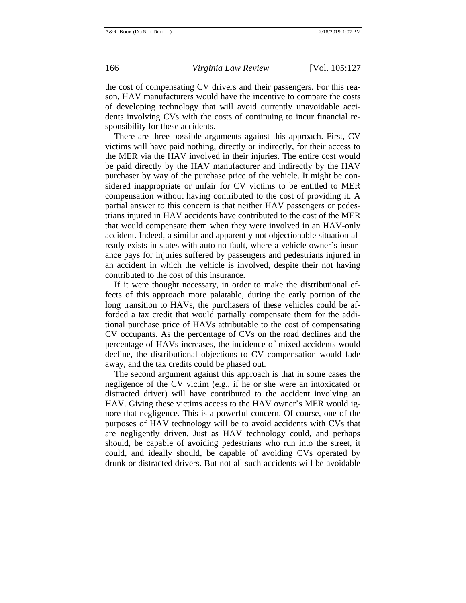the cost of compensating CV drivers and their passengers. For this reason, HAV manufacturers would have the incentive to compare the costs of developing technology that will avoid currently unavoidable accidents involving CVs with the costs of continuing to incur financial responsibility for these accidents.

There are three possible arguments against this approach. First, CV victims will have paid nothing, directly or indirectly, for their access to the MER via the HAV involved in their injuries. The entire cost would be paid directly by the HAV manufacturer and indirectly by the HAV purchaser by way of the purchase price of the vehicle. It might be considered inappropriate or unfair for CV victims to be entitled to MER compensation without having contributed to the cost of providing it. A partial answer to this concern is that neither HAV passengers or pedestrians injured in HAV accidents have contributed to the cost of the MER that would compensate them when they were involved in an HAV-only accident. Indeed, a similar and apparently not objectionable situation already exists in states with auto no-fault, where a vehicle owner's insurance pays for injuries suffered by passengers and pedestrians injured in an accident in which the vehicle is involved, despite their not having contributed to the cost of this insurance.

If it were thought necessary, in order to make the distributional effects of this approach more palatable, during the early portion of the long transition to HAVs, the purchasers of these vehicles could be afforded a tax credit that would partially compensate them for the additional purchase price of HAVs attributable to the cost of compensating CV occupants. As the percentage of CVs on the road declines and the percentage of HAVs increases, the incidence of mixed accidents would decline, the distributional objections to CV compensation would fade away, and the tax credits could be phased out.

The second argument against this approach is that in some cases the negligence of the CV victim (e.g., if he or she were an intoxicated or distracted driver) will have contributed to the accident involving an HAV. Giving these victims access to the HAV owner's MER would ignore that negligence. This is a powerful concern. Of course, one of the purposes of HAV technology will be to avoid accidents with CVs that are negligently driven. Just as HAV technology could, and perhaps should, be capable of avoiding pedestrians who run into the street, it could, and ideally should, be capable of avoiding CVs operated by drunk or distracted drivers. But not all such accidents will be avoidable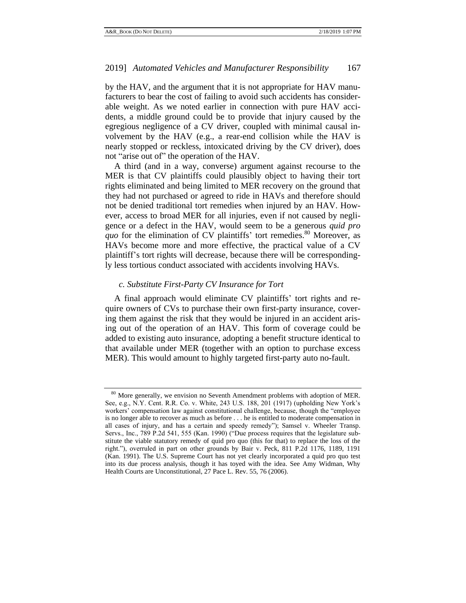by the HAV, and the argument that it is not appropriate for HAV manufacturers to bear the cost of failing to avoid such accidents has considerable weight. As we noted earlier in connection with pure HAV accidents, a middle ground could be to provide that injury caused by the egregious negligence of a CV driver, coupled with minimal causal involvement by the HAV (e.g., a rear-end collision while the HAV is nearly stopped or reckless, intoxicated driving by the CV driver), does not "arise out of" the operation of the HAV.

A third (and in a way, converse) argument against recourse to the MER is that CV plaintiffs could plausibly object to having their tort rights eliminated and being limited to MER recovery on the ground that they had not purchased or agreed to ride in HAVs and therefore should not be denied traditional tort remedies when injured by an HAV. However, access to broad MER for all injuries, even if not caused by negligence or a defect in the HAV, would seem to be a generous *quid pro quo* for the elimination of CV plaintiffs' tort remedies.<sup>80</sup> Moreover, as HAVs become more and more effective, the practical value of a CV plaintiff's tort rights will decrease, because there will be correspondingly less tortious conduct associated with accidents involving HAVs.

# <span id="page-40-0"></span>*c. Substitute First-Party CV Insurance for Tort*

A final approach would eliminate CV plaintiffs' tort rights and require owners of CVs to purchase their own first-party insurance, covering them against the risk that they would be injured in an accident arising out of the operation of an HAV. This form of coverage could be added to existing auto insurance, adopting a benefit structure identical to that available under MER (together with an option to purchase excess MER). This would amount to highly targeted first-party auto no-fault.

<sup>&</sup>lt;sup>80</sup> More generally, we envision no Seventh Amendment problems with adoption of MER. See, e.g., N.Y. Cent. R.R. Co. v. White, 243 U.S. 188, 201 (1917) (upholding New York's workers' compensation law against constitutional challenge, because, though the "employee is no longer able to recover as much as before . . . he is entitled to moderate compensation in all cases of injury, and has a certain and speedy remedy"); Samsel v. Wheeler Transp. Servs., Inc., 789 P.2d 541, 555 (Kan. 1990) ("Due process requires that the legislature substitute the viable statutory remedy of quid pro quo (this for that) to replace the loss of the right."), overruled in part on other grounds by Bair v. Peck, 811 P.2d 1176, 1189, 1191 (Kan. 1991). The U.S. Supreme Court has not yet clearly incorporated a quid pro quo test into its due process analysis, though it has toyed with the idea. See Amy Widman, Why Health Courts are Unconstitutional, 27 Pace L. Rev. 55, 76 (2006).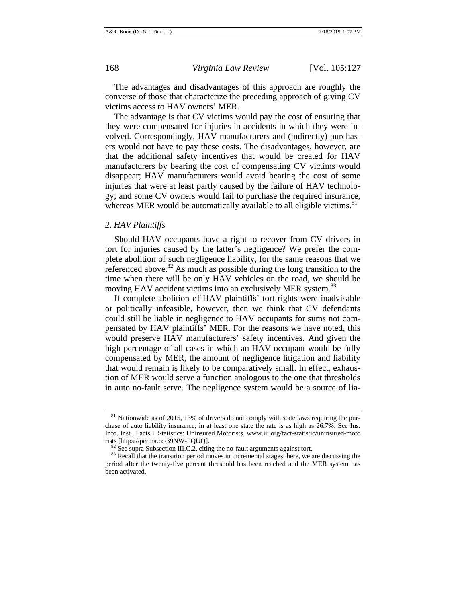The advantages and disadvantages of this approach are roughly the converse of those that characterize the preceding approach of giving CV victims access to HAV owners' MER.

The advantage is that CV victims would pay the cost of ensuring that they were compensated for injuries in accidents in which they were involved. Correspondingly, HAV manufacturers and (indirectly) purchasers would not have to pay these costs. The disadvantages, however, are that the additional safety incentives that would be created for HAV manufacturers by bearing the cost of compensating CV victims would disappear; HAV manufacturers would avoid bearing the cost of some injuries that were at least partly caused by the failure of HAV technology; and some CV owners would fail to purchase the required insurance, whereas MER would be automatically available to all eligible victims.<sup>81</sup>

# <span id="page-41-0"></span>*2. HAV Plaintiffs*

Should HAV occupants have a right to recover from CV drivers in tort for injuries caused by the latter's negligence? We prefer the complete abolition of such negligence liability, for the same reasons that we referenced above.<sup>82</sup> As much as possible during the long transition to the time when there will be only HAV vehicles on the road, we should be moving HAV accident victims into an exclusively MER system.<sup>83</sup>

If complete abolition of HAV plaintiffs' tort rights were inadvisable or politically infeasible, however, then we think that CV defendants could still be liable in negligence to HAV occupants for sums not compensated by HAV plaintiffs' MER. For the reasons we have noted, this would preserve HAV manufacturers' safety incentives. And given the high percentage of all cases in which an HAV occupant would be fully compensated by MER, the amount of negligence litigation and liability that would remain is likely to be comparatively small. In effect, exhaustion of MER would serve a function analogous to the one that thresholds in auto no-fault serve. The negligence system would be a source of lia-

 $81$  Nationwide as of 2015, 13% of drivers do not comply with state laws requiring the purchase of auto liability insurance; in at least one state the rate is as high as 26.7%. See Ins. Info. Inst., Facts + Statistics: Uninsured Motorists, www.iii.org/fact-statistic/uninsured-moto rists [https://perma.cc/39NW-FQUQ].

<sup>&</sup>lt;sup>82</sup> See supra Subsection III.C.2, citing the no-fault arguments against tort.

<sup>&</sup>lt;sup>83</sup> Recall that the transition period moves in incremental stages: here, we are discussing the period after the twenty-five percent threshold has been reached and the MER system has been activated.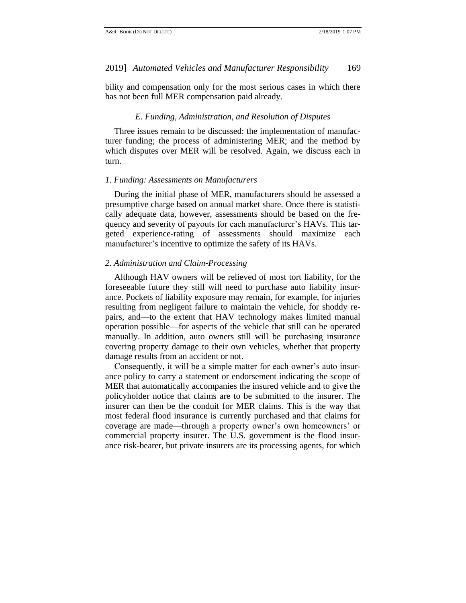<span id="page-42-0"></span>bility and compensation only for the most serious cases in which there has not been full MER compensation paid already.

## *E. Funding, Administration, and Resolution of Disputes*

Three issues remain to be discussed: the implementation of manufacturer funding; the process of administering MER; and the method by which disputes over MER will be resolved. Again, we discuss each in turn.

## <span id="page-42-1"></span>*1. Funding: Assessments on Manufacturers*

During the initial phase of MER, manufacturers should be assessed a presumptive charge based on annual market share. Once there is statistically adequate data, however, assessments should be based on the frequency and severity of payouts for each manufacturer's HAVs. This targeted experience-rating of assessments should maximize each manufacturer's incentive to optimize the safety of its HAVs.

## <span id="page-42-2"></span>*2. Administration and Claim-Processing*

Although HAV owners will be relieved of most tort liability, for the foreseeable future they still will need to purchase auto liability insurance. Pockets of liability exposure may remain, for example, for injuries resulting from negligent failure to maintain the vehicle, for shoddy repairs, and—to the extent that HAV technology makes limited manual operation possible—for aspects of the vehicle that still can be operated manually. In addition, auto owners still will be purchasing insurance covering property damage to their own vehicles, whether that property damage results from an accident or not.

Consequently, it will be a simple matter for each owner's auto insurance policy to carry a statement or endorsement indicating the scope of MER that automatically accompanies the insured vehicle and to give the policyholder notice that claims are to be submitted to the insurer. The insurer can then be the conduit for MER claims. This is the way that most federal flood insurance is currently purchased and that claims for coverage are made—through a property owner's own homeowners' or commercial property insurer. The U.S. government is the flood insurance risk-bearer, but private insurers are its processing agents, for which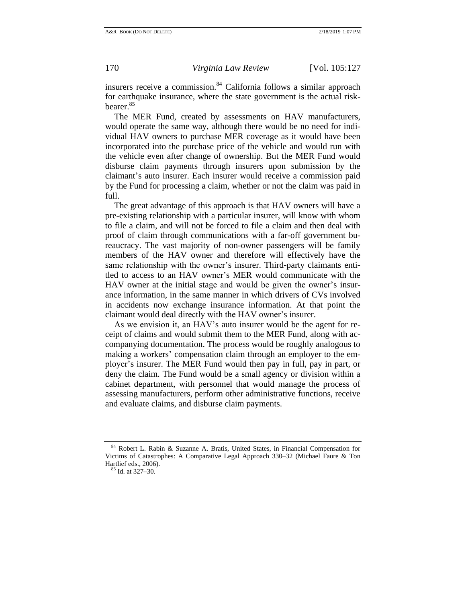insurers receive a commission. $84$  California follows a similar approach for earthquake insurance, where the state government is the actual riskbearer.<sup>85</sup>

The MER Fund, created by assessments on HAV manufacturers, would operate the same way, although there would be no need for individual HAV owners to purchase MER coverage as it would have been incorporated into the purchase price of the vehicle and would run with the vehicle even after change of ownership. But the MER Fund would disburse claim payments through insurers upon submission by the claimant's auto insurer. Each insurer would receive a commission paid by the Fund for processing a claim, whether or not the claim was paid in full.

The great advantage of this approach is that HAV owners will have a pre-existing relationship with a particular insurer, will know with whom to file a claim, and will not be forced to file a claim and then deal with proof of claim through communications with a far-off government bureaucracy. The vast majority of non-owner passengers will be family members of the HAV owner and therefore will effectively have the same relationship with the owner's insurer. Third-party claimants entitled to access to an HAV owner's MER would communicate with the HAV owner at the initial stage and would be given the owner's insurance information, in the same manner in which drivers of CVs involved in accidents now exchange insurance information. At that point the claimant would deal directly with the HAV owner's insurer.

As we envision it, an HAV's auto insurer would be the agent for receipt of claims and would submit them to the MER Fund, along with accompanying documentation. The process would be roughly analogous to making a workers' compensation claim through an employer to the employer's insurer. The MER Fund would then pay in full, pay in part, or deny the claim. The Fund would be a small agency or division within a cabinet department, with personnel that would manage the process of assessing manufacturers, perform other administrative functions, receive and evaluate claims, and disburse claim payments.

Robert L. Rabin & Suzanne A. Bratis, United States, in Financial Compensation for Victims of Catastrophes: A Comparative Legal Approach 330–32 (Michael Faure & Ton Hartlief eds., 2006).

<sup>85</sup> Id. at 327–30.